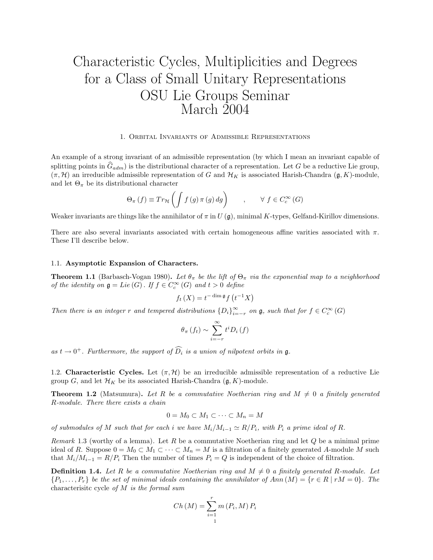# Characteristic Cycles, Multiplicities and Degrees for a Class of Small Unitary Representations OSU Lie Groups Seminar March 2004

#### 1. Orbital Invariants of Admissible Representations

An example of a strong invariant of an admissible representation (by which I mean an invariant capable of splitting points in  $G_{adm}$  is the distributional character of a representation. Let G be a reductive Lie group,  $(\pi, \mathcal{H})$  an irreducible admissible representation of G and  $\mathcal{H}_K$  is associated Harish-Chandra  $(\mathfrak{g}, K)$ -module, and let  $\Theta_{\pi}$  be its distributional character

$$
\Theta_{\pi}(f) \equiv Tr_{\mathcal{H}}\left(\int f(g)\,\pi(g)\,dg\right) \qquad , \qquad \forall\ f \in C_c^{\infty}(G)
$$

Weaker invariants are things like the annihilator of  $\pi$  in U (g), minimal K-types, Gelfand-Kirillov dimensions.

There are also several invariants associated with certain homogeneous affine varities associated with  $\pi$ . These I'll describe below.

#### 1.1. Asymptotic Expansion of Characters.

**Theorem 1.1** (Barbasch-Vogan 1980). Let  $\theta_{\pi}$  be the lift of  $\Theta_{\pi}$  via the exponential map to a neighborhood of the identity on  $\mathfrak{g} = Lie(G)$ . If  $f \in C_c^{\infty}(G)$  and  $t > 0$  define

$$
f_t(X) = t^{-\dim \mathfrak{g}} f(t^{-1}X)
$$

Then there is an integer r and tempered distributions  ${D_i}_{i=-r}^{\infty}$  on  $\mathfrak{g}$ , such that for  $f \in C_c^{\infty}(G)$ 

$$
\theta_{\pi}\left(f_{t}\right) \sim \sum_{i=-r}^{\infty} t^{i} D_{i}\left(f\right)
$$

as  $t \to 0^+$ . Furthermore, the support of  $\widehat{D}_i$  is a union of nilpotent orbits in  $\mathfrak{g}$ .

1.2. Characteristic Cycles. Let  $(\pi, \mathcal{H})$  be an irreducible admissible representation of a reductive Lie group G, and let  $\mathcal{H}_K$  be its associated Harish-Chandra  $(\mathfrak{g}, K)$ -module.

**Theorem 1.2** (Matsumura). Let R be a commutative Noetherian ring and  $M \neq 0$  a finitely generated R-module. There there exists a chain

$$
0 = M_0 \subset M_1 \subset \cdots \subset M_n = M
$$

of submodules of M such that for each i we have  $M_i/M_{i-1} \simeq R/P_i$ , with  $P_i$  a prime ideal of R.

Remark 1.3 (worthy of a lemma). Let R be a commutative Noetherian ring and let  $Q$  be a minimal prime ideal of R. Suppose  $0 = M_0 \subset M_1 \subset \cdots \subset M_n = M$  is a filtration of a finitely generated A-module M such that  $M_i/M_{i-1} = R/P_i$  Then the number of times  $P_i = Q$  is independent of the choice of filtration.

**Definition 1.4.** Let R be a commutative Noetherian ring and  $M \neq 0$  a finitely generated R-module. Let  $\{P_1,\ldots,P_r\}$  be the set of minimal ideals containing the annihilator of  $Ann(M) = \{r \in R \mid rM = 0\}$ . The characterisitc cycle of M is the formal sum

$$
Ch\left(M\right) = \sum_{i=1}^{r} m\left(P_i, M\right) P_i
$$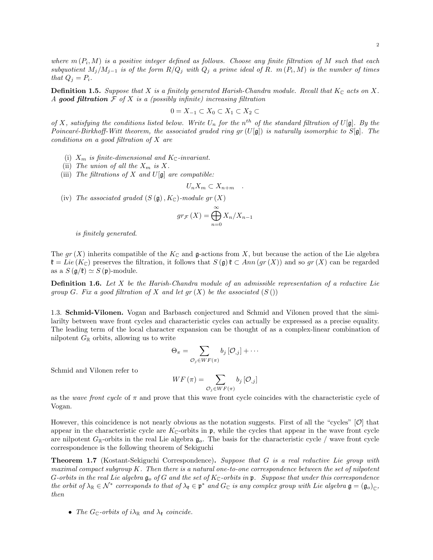2

where  $m(P_i, M)$  is a positive integer defined as follows. Choose any finite filtration of M such that each subquotient  $M_j/M_{j-1}$  is of the form  $R/Q_j$  with  $Q_j$  a prime ideal of R.  $m(P_i, M)$  is the number of times that  $Q_i = P_i$ .

**Definition 1.5.** Suppose that X is a finitely generated Harish-Chandra module. Recall that  $K_{\mathbb{C}}$  acts on X. A good filtration  $\mathcal F$  of  $X$  is a (possibly infinite) increasing filtration

$$
0 = X_{-1} \subset X_0 \subset X_1 \subset X_2 \subset
$$

of X, satisfying the conditions listed below. Write  $U_n$  for the n<sup>th</sup> of the standard filtration of  $U[\mathfrak{g}]$ . By the Poincaré-Birkhoff-Witt theorem, the associated graded ring gr  $(U[\mathfrak{g}])$  is naturally isomorphic to  $S[\mathfrak{g}]$ . The conditions on a good filtration of X are

- (i)  $X_m$  is finite-dimensional and  $K_{\mathbb{C}}$ -invariant.
- (ii) The union of all the  $X_m$  is X.
- (iii) The filtrations of X and  $U[\mathfrak{g}]$  are compatible:

$$
U_n X_m \subset X_{n+m} .
$$

(iv) The associated graded  $(S(g), K_{\mathbb{C}})$ -module gr  $(X)$ 

$$
gr_{\mathcal{F}}(X) = \bigoplus_{n=0}^{\infty} X_n/X_{n-1}
$$

is finitely generated.

The gr  $(X)$  inherits compatible of the  $K_{\mathbb{C}}$  and g-actions from X, but because the action of the Lie algebra  $\mathfrak{k} = Lie(K_{\mathbb{C}})$  preserves the filtration, it follows that  $S(\mathfrak{g})\mathfrak{k} \subset Ann(gr(X))$  and so  $gr(X)$  can be regarded as a  $S(\mathfrak{g}/\mathfrak{k}) \simeq S(\mathfrak{p})$ -module.

**Definition 1.6.** Let  $X$  be the Harish-Chandra module of an admissible representation of a reductive Lie group G. Fix a good filtration of X and let  $gr(X)$  be the associated  $(S()$ 

1.3. Schmid-Vilonen. Vogan and Barbasch conjectured and Schmid and Vilonen proved that the similarilty between wave front cycles and characteristic cycles can actually be expressed as a precise equality. The leading term of the local character expansion can be thought of as a complex-linear combination of nilpotent  $G_{\mathbb{R}}$  orbits, allowing us to write

$$
\Theta_{\pi}=\sum_{\mathcal{O}_{j}\in WF(\pi)}b_{j}\left[\mathcal{O}_{,j}\right]+\cdots
$$

Schmid and Vilonen refer to

$$
WF\left(\pi\right) = \sum_{\mathcal{O}_j \in WF(\pi)} b_j\left[\mathcal{O}_{,j}\right]
$$

as the *wave front cycle* of  $\pi$  and prove that this wave front cycle coincides with the characteristic cycle of Vogan.

However, this coincidence is not nearly obvious as the notation suggests. First of all the "cycles" [O] that appear in the characteristic cycle are  $K_{\mathbb{C}}$ -orbits in p, while the cycles that appear in the wave front cycle are nilpotent  $G_{\mathbb{R}}$ -orbits in the real Lie algebra  $\mathfrak{g}_o$ . The basis for the characteristic cycle / wave front cycle correspondence is the following theorem of Sekiguchi

**Theorem 1.7** (Kostant-Sekiguchi Correspondence). Suppose that G is a real reductive Lie group with maximal compact subgroup K. Then there is a natural one-to-one correspondence between the set of nilpotent G-orbits in the real Lie algebra  $\mathfrak{g}_o$  of G and the set of  $K_{\mathbb{C}}$ -orbits in p. Suppose that under this correspondence the orbit of  $\lambda_{\mathbb{R}} \in \mathcal{N}^*$  corresponds to that of  $\lambda_{\mathfrak{k}} \in \mathfrak{p}^*$  and  $G_{\mathbb{C}}$  is any complex group with Lie algebra  $\mathfrak{g} = (\mathfrak{g}_o)_{\mathbb{C}}$ , then

• The  $G_{\mathbb{C}}$ -orbits of  $i\lambda_{\mathbb{R}}$  and  $\lambda_{\mathfrak{k}}$  coincide.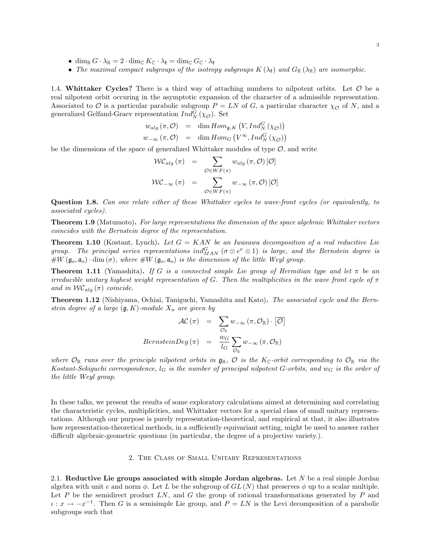- dim<sub>R</sub>  $G \cdot \lambda_{\mathbb{R}} = 2 \cdot \dim_{\mathbb{C}} K_{\mathbb{C}} \cdot \lambda_{\mathfrak{k}} = \dim_{\mathbb{C}} G_{\mathbb{C}} \cdot \lambda_{\mathfrak{k}}$
- The maximal compact subgroups of the isotropy subgroups  $K(\lambda_{\mathfrak{k}})$  and  $G_{\mathbb{R}}(\lambda_{\mathbb{R}})$  are isomorphic.

1.4. Whittaker Cycles? There is a third way of attaching numbers to nilpotent orbits. Let  $\mathcal O$  be a real nilpotent orbit occuring in the asymptotic expansion of the character of a admissible representation. Associated to  $\mathcal O$  is a particular parabolic subgroup  $P = LN$  of G, a particular character  $\chi_{\mathcal O}$  of N, and a generalized Gelfand-Graev representation  $Ind_N^G(\chi_{\mathcal{O}})$ . Set

$$
w_{alg}(\pi, \mathcal{O}) = \dim Hom_{\mathfrak{g}, K} (V, Ind_N^G(\chi_{\mathcal{O}}))
$$
  

$$
w_{-\infty}(\pi, \mathcal{O}) = \dim Hom_G (V^{\infty}, Ind_N^G(\chi_{\mathcal{O}}))
$$

be the dimensions of the space of generalized Whittaker modules of type  $\mathcal{O}$ , and write

$$
\mathcal{WC}_{alg}(\pi) = \sum_{\mathcal{O} \in WF(\pi)} w_{alg}(\pi, \mathcal{O}) [\mathcal{O}]
$$

$$
\mathcal{WC}_{-\infty}(\pi) = \sum_{\mathcal{O} \in WF(\pi)} w_{-\infty}(\pi, \mathcal{O}) [\mathcal{O}]
$$

Question 1.8. Can one relate either of these Whittaker cycles to wave-front cycles (or equivalently, to associated cycles).

Theorem 1.9 (Matumoto). For large representations the dimension of the space algebraic Whittaker vectors coincides with the Bernstein degree of the representation.

**Theorem 1.10** (Kostant, Lynch). Let  $G = KAN$  be an Iwasawa decomposition of a real reducitive Lie group. The principal series representations  $ind_{MAN}^G (\sigma \otimes e^{\nu} \otimes 1)$  is large, and the Bernstein degree is  $\#W(\mathfrak{g}_o, \mathfrak{a}_o) \cdot \dim(\sigma)$ , where  $\#W(\mathfrak{g}_o, \mathfrak{a}_o)$  is the dimension of the little Weyl group.

**Theorem 1.11** (Yamashita). If G is a connected simple Lie group of Hermitian type and let  $\pi$  be an irreducible unitary highest weight representation of G. Then the multiplicities in the wave front cycle of  $\pi$ and in  ${\mathcal{WC}}_{alg}(\pi)$  coincide.

**Theorem 1.12** (Nishiyama, Ochiai, Taniguchi, Yamashita and Kato). The associated cycle and the Bernstein degree of a large  $(\mathfrak{g}, K)$ -module  $X_{\pi}$  are given by

$$
\begin{array}{rcl} \mathcal{AC}\left(\pi\right) & = & \displaystyle\sum_{\mathcal{O}_{\mathbb{R}}} w_{-\infty}\left(\pi, \mathcal{O}_{\mathbb{R}}\right) \cdot \left[\overline{\mathcal{O}}\right] \\ \textit{BernsteinDeg}\left(\pi\right) & = & \displaystyle\frac{w_G}{l_G} \sum_{\mathcal{O}_{\mathbb{R}}} w_{-\infty}\left(\pi, \mathcal{O}_{\mathbb{R}}\right) \end{array}
$$

where  $\mathcal{O}_\mathbb{R}$  runs over the principle nilpotent orbits in  $\mathfrak{g}_\mathbb{R}$ ,  $\mathcal{O}$  is the K<sub>C</sub>-orbit corresponding to  $\mathcal{O}_\mathbb{R}$  via the Kostant-Sekiguchi correspondence,  $l_G$  is the number of principal nilpotent G-orbits, and  $w_G$  is the order of the little Weyl group.

In these talks, we present the results of some exploratory calculations aimed at determining and correlating the characteristic cycles, multiplicities, and Whittaker vectors for a special class of small unitary representations. Although our purpose is purely representation-theoretical, and empirical at that, it also illustrates how representation-theoretical methods, in a sufficiently equivariant setting, might be used to answer rather difficult algebraic-geometric questions (in particular, the degree of a projective variety.).

#### 2. The Class of Small Unitary Representations

2.1. Reductive Lie groups associated with simple Jordan algebras. Let  $N$  be a real simple Jordan algebra with unit e and norm  $\phi$ . Let L be the subgroup of  $GL(N)$  that preserves  $\phi$  up to a scalar multiple. Let  $P$  be the semidirect product  $LN$ , and  $G$  the group of rational transformations generated by  $P$  and  $\iota: x \to -x^{-1}$ . Then G is a semisimple Lie group, and  $P = LN$  is the Levi decomposition of a parabolic subgroups such that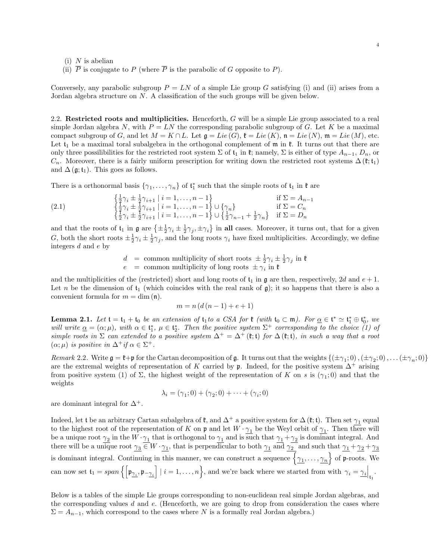- $(i)$  N is abelian
- (ii)  $\overline{P}$  is conjugate to P (where  $\overline{P}$  is the parabolic of G opposite to P).

Conversely, any parabolic subgroup  $P = LN$  of a simple Lie group G satisfying (i) and (ii) arises from a Jordan algebra structure on N. A classification of the such groups will be given below.

2.2. Restricted roots and multiplicities. Henceforth, G will be a simple Lie group associated to a real simple Jordan algebra N, with  $P = LN$  the corresponding parabolic subgroup of G. Let K be a maximal compact subgroup of G, and let  $M = K \cap L$ . Let  $\mathfrak{g} = Lie(G)$ ,  $\mathfrak{k} = Lie(K)$ ,  $\mathfrak{n} = Lie(N)$ ,  $\mathfrak{m} = Lie(M)$ , etc. Let  $t_1$  be a maximal toral subalgebra in the orthogonal complement of  $m$  in  $\ell$ . It turns out that there are only three possilibilities for the restricted root system  $\Sigma$  of  $\mathfrak{t}_1$  in  $\mathfrak{k}$ ; namely,  $\Sigma$  is either of type  $A_{n-1}, D_n$ , or  $C_n$ . Moreover, there is a fairly uniform prescription for writing down the restricted root systems  $\Delta(\mathfrak{k};\mathfrak{t}_1)$ and  $\Delta(\mathfrak{g};\mathfrak{t}_1)$ . This goes as follows.

There is a orthonormal basis  $\{\gamma_1, \ldots, \gamma_n\}$  of  $\mathfrak{t}_1^*$  such that the simple roots of  $\mathfrak{t}_1$  in  $\mathfrak{k}$  are

(2.1) 
$$
\begin{cases} \frac{1}{2}\gamma_i \pm \frac{1}{2}\gamma_{i+1} | i = 1, ..., n-1 \\ \frac{1}{2}\gamma_i \pm \frac{1}{2}\gamma_{i+1} | i = 1, ..., n-1 \} \cup \{\gamma_n\} & \text{if } \Sigma = A_{n-1} \\ \frac{1}{2}\gamma_i \pm \frac{1}{2}\gamma_{i+1} | i = 1, ..., n-1 \} \cup \{\frac{1}{2}\gamma_{n-1} + \frac{1}{2}\gamma_n\} & \text{if } \Sigma = D_n \end{cases}
$$

and that the roots of  $t_1$  in  $\mathfrak{g}$  are  $\{\pm \frac{1}{2}\gamma_i \pm \frac{1}{2}\gamma_j, \pm \gamma_i\}$  in all cases. Moreover, it turns out, that for a given G, both the short roots  $\pm \frac{1}{2}\gamma_i \pm \frac{1}{2}\gamma_j$ , and the long roots  $\gamma_i$  have fixed multiplicities. Accordingly, we define integers d and e by

> $d = \text{common multiplicity of short roots } \pm \frac{1}{2}\gamma_i \pm \frac{1}{2}\gamma_j \text{ in } \mathfrak{k}$  $e = \text{common multiplicity of long roots } \pm \gamma_i \text{ in } \mathfrak{k}$

and the multiplicities of the (restricted) short and long roots of  $t_1$  in g are then, respectively, 2d and  $e + 1$ . Let n be the dimension of  $t_1$  (which coincides with the real rank of g); it so happens that there is also a convenient formula for  $m = \dim(n)$ .

$$
m = n (d (n - 1) + e + 1)
$$

**Lemma 2.1.** Let  $\mathfrak{t} = \mathfrak{t}_1 + \mathfrak{t}_0$  be an extension of  $\mathfrak{t}_1$  to a CSA for  $\mathfrak{k}$  (with  $\mathfrak{t}_0 \subset \mathfrak{m}$ ). For  $\underline{\alpha} \in \mathfrak{t}^* \simeq \mathfrak{t}_1^* \oplus \mathfrak{t}_0^*$ , we will write  $\underline{\alpha} = (\alpha; \mu)$ , with  $\alpha \in \mathfrak{t}_1^*, \mu \in \mathfrak{t}_2^*$ . Then the positive system  $\Sigma^+$  corresponding to the choice (1) of simple roots in  $\Sigma$  can extended to a positive system  $\Delta^+ = \Delta^+$  ( $\mathfrak{k}; \mathfrak{t}$ ) for  $\Delta$  ( $\mathfrak{k}; \mathfrak{t}$ ), in such a way that a root  $(\alpha; \mu)$  is positive in  $\Delta^+$ if  $\alpha \in \Sigma^+$ .

Remark 2.2. Write  $\mathfrak{g} = \mathfrak{k} + \mathfrak{p}$  for the Cartan decomposition of  $\mathfrak{g}$ . It turns out that the weights  $\{(\pm \gamma_1; 0), (\pm \gamma_2; 0), \ldots (\pm \gamma_n; 0)\}$ are the extremal weights of representation of K carried by p. Indeed, for the positive system  $\Delta^+$  arising from positive system (1) of  $\Sigma$ , the highest weight of the representation of K on s is  $(\gamma_1;0)$  and that the weights

$$
\lambda_i = (\gamma_1; 0) + (\gamma_2; 0) + \cdots + (\gamma_i; 0)
$$

are dominant integral for  $\Delta^+$ .

Indeed, let t be an arbitrary Cartan subalgebra of  $\mathfrak{k}$ , and  $\Delta^+$  a positive system for  $\Delta(\mathfrak{k};\mathfrak{t})$ . Then set  $\gamma_1$  equal to the highest root of the representation of K on  $\mathfrak{p}$  and let  $W \cdot \gamma_1$  be the Weyl orbit of  $\gamma_1$ . Then there will be a unique root  $\gamma_2$  in the  $W \cdot \gamma_1$  that is orthogonal to  $\gamma_1$  and is such that  $\gamma_1 + \gamma_2$  is dominant integral. And there will be a unique root  $\gamma_3 \in W \cdot \gamma_1$ , that is perpendicular to both  $\gamma_1$  and  $\gamma_2$  and such that  $\gamma_1 + \gamma_2 + \gamma_3$ is dominant integral. Continuing in this manner, we can construct a sequence  $\{\gamma_1,\ldots,\gamma_n\}$  of p-roots. We can now set  $\mathfrak{t}_1 = span\left\{ \left[\mathfrak{p}_{\underline{\gamma_i}}, \mathfrak{p}_{-\underline{\gamma_i}}\right] \mid i = 1, \ldots, n \right\}$ , and we're back where we started from with  $\gamma_i = \underline{\gamma_i} \Big|_{\mathfrak{t}_1}$ .

Below is a tables of the simple Lie groups corresponding to non-euclidean real simple Jordan algebras, and the corresponding values  $d$  and  $e$ . (Henceforth, we are going to drop from consideration the cases where  $\Sigma = A_{n-1}$ , which correspond to the cases where N is a formally real Jordan algebra.)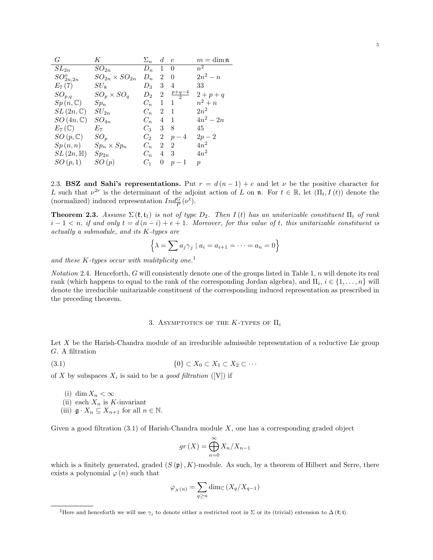| G                               | $K^-$                    | $\Sigma_n$ | $d \cdot e$    |             | $m = \dim \mathfrak{n}$ |
|---------------------------------|--------------------------|------------|----------------|-------------|-------------------------|
| $SL_{2n}$                       | $SO_{2n}$                | $D_n$      |                | $1 \quad 0$ | $n^2$                   |
| $SO_{2n,2n}^o$                  | $SO_{2n} \times SO_{2n}$ | $D_n$      | $\overline{2}$ | $\theta$    | $2n^2 - n$              |
| $E_7(7)$                        | $SU_{8}$                 | $D_3$      | 3              | 4           | 33                      |
| $SO_{p,q}$                      | $SO_p \times SO_q$       | $D_2$      | $\overline{2}$ | $p+q-4$     | $2 + p + q$             |
| $Sp(n,\mathbb{C})$              | $Sp_n$                   | $C_n$      | 1.             | 1           | $n^2 + n$               |
| $SL(2n,\mathbb{C})$             | $SU_{2n}$                | $C_n$      | $\mathcal{L}$  | 1           | $2n^2$                  |
| $SO(4n,\mathbb{C})$             | $SO_{4n}$                | $C_n$      | $\overline{4}$ | -1          | $4n^2 - 2n$             |
| $E_7(\mathbb{C})$               | $E_7$                    | $C_3$      | 3              | 8           | 45                      |
| $SO(p,\mathbb{C})$              | $SO_p$                   | $C_2$      | $2^{-}$        | $p-4$       | $2p-2$                  |
| Sp(n,n)                         | $Sp_n\times Sp_n$        | $C_n$      | $\overline{2}$ | 2           | $4n^2$                  |
| $SL\left( 2n,\mathbb{H}\right)$ | $Sp_{2n}$                | $C_n$      | $\overline{4}$ | 3           | $4n^2$                  |
| SO(p,1)                         | SO(p)                    | $C_1$      | $\Omega$       | $p-1$       | $\boldsymbol{p}$        |
|                                 |                          |            |                |             |                         |

2.3. BSZ and Sahi's representations. Put  $r = d(n-1) + e$  and let  $\nu$  be the positive character for L such that  $\nu^{2r}$  is the determinant of the adjoint action of L on n. For  $t \in \mathbb{R}$ , let  $(\Pi_t, I(t))$  denote the (normalized) induced representation  $Ind_{\overline{P}}^{G}(\nu^{t})$ .

**Theorem 2.3.** Assume  $\Sigma(\mathfrak{k},\mathfrak{t}_1)$  is not of type  $D_2$ . Then  $I(t)$  has an unitarizable constituent  $\Pi_i$  of rank  $i-1 < n$ , if and only  $t = d(n-i) + e + 1$ . Moreover, for this value of t, this unitarizable constituent is actually a submodule, and its K-types are

$$
\left\{\lambda = \sum a_j \gamma_j \mid a_i = a_{i+1} = \dots = a_n = 0\right\}
$$

and these K-types occur with mulitplicity one.<sup>1</sup>

Notation 2.4. Henceforth, G will consistently denote one of the groups listed in Table 1, n will denote its real rank (which happens to equal to the rank of the corresponding Jordan algebra), and  $\Pi_i$ ,  $i \in \{1, \ldots, n\}$  will denote the irreducible unitarizable constituent of the corresponding induced representation as prescribed in the preceding theorem.

#### 3. ASYMPTOTICS OF THE K-TYPES OF  $\Pi_i$

Let X be the Harish-Chandra module of an irreducible admissible representation of a reductive Lie group G. A filtration

$$
(3.1) \t\t \{0\} \subset X_0 \subset X_1 \subset X_2 \subset \cdots
$$

of X by subspaces  $X_i$  is said to be a good filtration ([V]) if

- (i) dim  $X_n < \infty$
- (ii) each  $X_n$  is K-invariant
- (iii)  $\mathfrak{g} \cdot X_n \subseteq X_{n+1}$  for all  $n \in \mathbb{N}$ .

Given a good filtration  $(3.1)$  of Harish-Chandra module X, one has a corresponding graded object

$$
gr\left(X\right) = \bigoplus_{n=0}^{\infty} X_n/X_{n-1}
$$

which is a finitely generated, graded  $(S(\mathfrak{p}), K)$ -module. As such, by a theorem of Hilbert and Serre, there exists a polynomial  $\varphi(n)$  such that

$$
\varphi_{X(n)} = \sum_{q \ge n} \dim_{\mathbb{C}} (X_q/X_{q-1})
$$

<sup>&</sup>lt;sup>1</sup>Here and henceforth we will use  $\gamma_i$  to denote either a restricted root in  $\Sigma$  or its (trivial) extension to  $\Delta(\mathfrak{k}; \mathfrak{t})$ .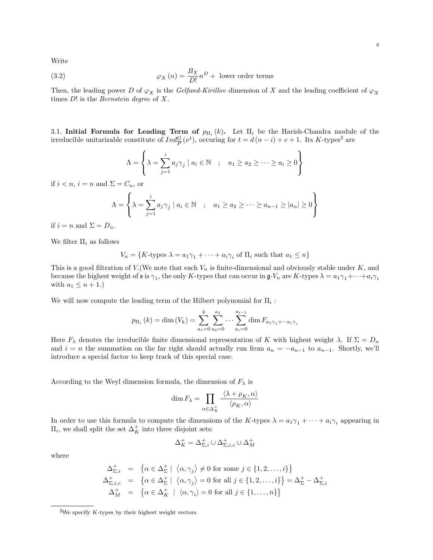Write

(3.2) 
$$
\varphi_X(n) = \frac{B_X}{D!} n^D + \text{ lower order terms}
$$

Then, the leading power D of  $\varphi_X$  is the Gelfand-Kirillov dimension of X and the leading coefficient of  $\varphi_X$ times  $D!$  is the *Bernstein degree* of  $X$ .

3.1. Initial Formula for Leading Term of  $p_{\Pi_i}(k)$ . Let  $\Pi_i$  be the Harish-Chandra module of the irreducible unitarizable constitute of  $Ind_{\overline{P}}^G(\nu^t)$ , occuring for  $t = d(n - i) + e + 1$ . Its K-types<sup>2</sup> are

$$
\Lambda = \left\{ \lambda = \sum_{j=1}^{i} a_j \gamma_j \mid a_i \in \mathbb{N} \quad ; \quad a_1 \ge a_2 \ge \cdots \ge a_i \ge 0 \right\}
$$

if  $i < n$ ,  $i = n$  and  $\Sigma = C_n$ , or

$$
\Lambda = \left\{ \lambda = \sum_{j=1}^{i} a_j \gamma_j \mid a_i \in \mathbb{N} \quad ; \quad a_1 \ge a_2 \ge \dots \ge a_{n-1} \ge |a_n| \ge 0 \right\}
$$

if  $i = n$  and  $\Sigma = D_n$ .

We filter  $\Pi_i$  as follows

$$
V_n = \{K\text{-types } \lambda = a_1\gamma_1 + \dots + a_i\gamma_i \text{ of } \Pi_i \text{ such that } a_1 \le n\}
$$

This is a good filtration of  $V$ . (We note that each  $V_n$  is finite-dimensional and obviously stable under  $K$ , and because the highest weight of  $\mathfrak s$  is  $\gamma_1$ , the only K-types that can occur in  $\mathfrak g V_n$  are K-types  $\lambda = a_1 \gamma_1 + \cdots + a_i \gamma_i$ with  $a_1 \leq n+1$ .

We will now compute the leading term of the Hilbert polynomial for  $\Pi_i$ :

$$
p_{\Pi_i}(k) = \dim(V_k) = \sum_{a_1=0}^k \sum_{a_2=0}^{a_1} \cdots \sum_{a_i=0}^{a_{i-1}} \dim F_{a_1 \gamma_1 + \cdots a_i \gamma_i}
$$

Here  $F_{\lambda}$  denotes the irreducible finite dimensional representation of K with highest weight  $\lambda$ . If  $\Sigma = D_n$ and  $i = n$  the summation on the far right should actually run from  $a_n = -a_{n-1}$  to  $a_{n-1}$ . Shortly, we'll introduce a special factor to keep track of this special case.

According to the Weyl dimension formula, the dimension of  $F_{\lambda}$  is

$$
\dim F_{\lambda} = \prod_{\alpha \in \Delta_K^+} \frac{\langle \lambda + \rho_K, \alpha \rangle}{\langle \rho_K, \alpha \rangle}
$$

In order to use this formula to compute the dimensions of the K-types  $\lambda = a_1 \gamma_1 + \cdots + a_i \gamma_i$  appearing in  $\Pi_i$ , we shall split the set  $\Delta_K^+$  into three disjoint sets:

$$
\Delta^+_K=\Delta^+_{\Sigma,i}\cup\Delta^+_{\Sigma,i,c}\cup\Delta^+_M
$$

where

$$
\Delta_{\Sigma,i}^+ = \{ \alpha \in \Delta_{\Sigma}^+ \mid \langle \alpha, \gamma_j \rangle \neq 0 \text{ for some } j \in \{1, 2, ..., i\} \}
$$
  
\n
$$
\Delta_{\Sigma,i,c}^+ = \{ \alpha \in \Delta_{\Sigma}^+ \mid \langle \alpha, \gamma_j \rangle = 0 \text{ for all } j \in \{1, 2, ..., i\} \} = \Delta_{\Sigma}^+ - \Delta_{\Sigma,i}^+
$$
  
\n
$$
\Delta_M^+ = \{ \alpha \in \Delta_K^+ \mid \langle \alpha, \gamma_i \rangle = 0 \text{ for all } j \in \{1, ..., n\} \}
$$

<sup>&</sup>lt;sup>2</sup>We specify  $K$ -types by their highest weight vectors.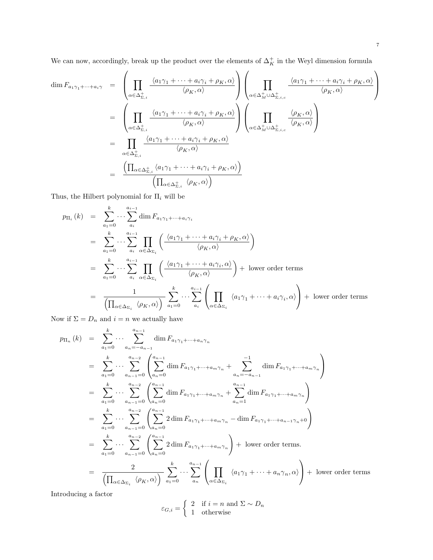We can now, accordingly, break up the product over the elements of  $\Delta_K^+$  in the Weyl dimension formula

$$
\dim F_{a_1\gamma_1 + \dots + a_i\gamma} = \left(\prod_{\alpha \in \Delta_{\Sigma,i}^+} \frac{\langle a_1\gamma_1 + \dots + a_i\gamma_i + \rho_K, \alpha \rangle}{\langle \rho_K, \alpha \rangle}\right) \left(\prod_{\alpha \in \Delta_{M}^+ \cup \Delta_{\Sigma,i,c}^+} \frac{\langle a_1\gamma_1 + \dots + a_i\gamma_i + \rho_K, \alpha \rangle}{\langle \rho_K, \alpha \rangle}\right)
$$
\n
$$
= \left(\prod_{\alpha \in \Delta_{\Sigma,i}^+} \frac{\langle a_1\gamma_1 + \dots + a_i\gamma_i + \rho_K, \alpha \rangle}{\langle \rho_K, \alpha \rangle}\right) \left(\prod_{\alpha \in \Delta_{M}^+ \cup \Delta_{\Sigma,i,c}^+} \frac{\langle \rho_K, \alpha \rangle}{\langle \rho_K, \alpha \rangle}\right)
$$
\n
$$
= \prod_{\alpha \in \Delta_{\Sigma,i}^+} \frac{\langle a_1\gamma_1 + \dots + a_i\gamma_i + \rho_K, \alpha \rangle}{\langle \rho_K, \alpha \rangle}
$$
\n
$$
= \frac{\left(\prod_{\alpha \in \Delta_{\Sigma,i}^+} \langle a_1\gamma_1 + \dots + a_i\gamma_i + \rho_K, \alpha \rangle\right)}{\left(\prod_{\alpha \in \Delta_{\Sigma,i}^+} \langle \rho_K, \alpha \rangle\right)}
$$

Thus, the Hilbert polynomial for  $\Pi_i$  will be

$$
p_{\Pi_i}(k) = \sum_{a_1=0}^k \cdots \sum_{a_i}^{a_{i-1}} \dim F_{a_1 \gamma_1 + \cdots + a_i \gamma_i}
$$
  
\n
$$
= \sum_{a_1=0}^k \cdots \sum_{a_i}^{a_{i-1}} \prod_{\alpha \in \Delta_{\Sigma_i}} \left( \frac{\langle a_1 \gamma_1 + \cdots + a_i \gamma_i + \rho_K, \alpha \rangle}{\langle \rho_K, \alpha \rangle} \right)
$$
  
\n
$$
= \sum_{a_1=0}^k \cdots \sum_{a_i}^{a_{i-1}} \prod_{\alpha \in \Delta_{\Sigma_i}} \left( \frac{\langle a_1 \gamma_1 + \cdots + a_i \gamma_i, \alpha \rangle}{\langle \rho_K, \alpha \rangle} \right) + \text{ lower order terms}
$$
  
\n
$$
= \frac{1}{\left( \prod_{\alpha \in \Delta_{\Sigma_i}} \langle \rho_K, \alpha \rangle \right)} \sum_{a_1=0}^k \cdots \sum_{a_i}^{a_{i-1}} \left( \prod_{\alpha \in \Delta_{\Sigma_i}} \langle a_1 \gamma_1 + \cdots + a_i \gamma_i, \alpha \rangle \right) + \text{ lower order terms}
$$

Now if  $\Sigma=D_n$  and  $i=n$  we actually have

$$
p_{\Pi_n}(k) = \sum_{a_1=0}^k \cdots \sum_{a_n=-a_{n-1}}^{a_{n-1}} \dim F_{a_1\gamma_1 + \cdots + a_n\gamma_n}
$$
  
\n
$$
= \sum_{a_1=0}^k \cdots \sum_{a_{n-1}=0}^{a_{n-2}} \left( \sum_{a_n=0}^{a_{n-1}} \dim F_{a_1\gamma_1 + \cdots + a_m\gamma_n} + \sum_{a_n=-a_{n-1}}^{-1} \dim F_{a_1\gamma_1 + \cdots + a_m\gamma_n} \right)
$$
  
\n
$$
= \sum_{a_1=0}^k \cdots \sum_{a_{n-1}=0}^{a_{n-2}} \left( \sum_{a_n=0}^{a_{n-1}} \dim F_{a_1\gamma_1 + \cdots + a_m\gamma_n} + \sum_{a_n=1}^{a_{n-1}} \dim F_{a_1\gamma_1 + \cdots + a_m\gamma_n} \right)
$$
  
\n
$$
= \sum_{a_1=0}^k \cdots \sum_{a_{n-1}=0}^{a_{n-2}} \left( \sum_{a_n=0}^{a_{n-1}} 2 \dim F_{a_1\gamma_1 + \cdots + a_m\gamma_n} - \dim F_{a_1\gamma_1 + \cdots + a_{n-1}\gamma_n + 0} \right)
$$
  
\n
$$
= \sum_{a_1=0}^k \cdots \sum_{a_{n-1}=0}^{a_{n-2}} \left( \sum_{a_n=0}^{a_{n-1}} 2 \dim F_{a_1\gamma_1 + \cdots + a_m\gamma_n} \right) + \text{ lower order terms.}
$$
  
\n
$$
= \frac{2}{\left( \prod_{\alpha \in \Delta_{\Sigma_i}} \langle \rho_K, \alpha \rangle \right)} \sum_{a_1=0}^k \cdots \sum_{a_n=0}^{a_{n-1}} \left( \prod_{\alpha \in \Delta_{\Sigma_i}} \langle a_1\gamma_1 + \cdots + a_n\gamma_n, \alpha \rangle \right) + \text{ lower order terms.}
$$

Introducing a factor

$$
\varepsilon_{G,i} = \begin{cases} 2 & \text{if } i = n \text{ and } \Sigma \sim D_n \\ 1 & \text{otherwise} \end{cases}
$$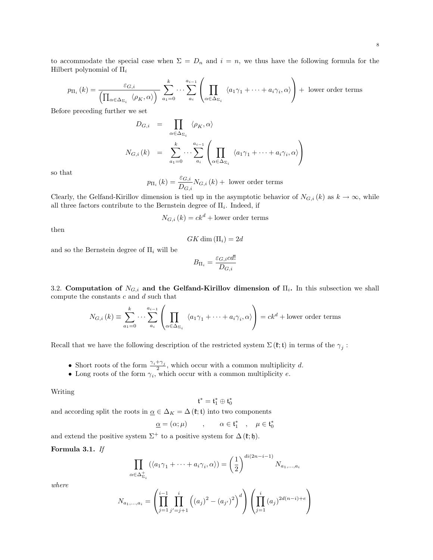to accommodate the special case when  $\Sigma = D_n$  and  $i = n$ , we thus have the following formula for the Hilbert polynomial of  $\Pi_i$ 

$$
p_{\Pi_i}(k) = \frac{\varepsilon_{G,i}}{\left(\prod_{\alpha \in \Delta_{\Sigma_i}} \langle \rho_K, \alpha \rangle\right)} \sum_{a_1=0}^k \cdots \sum_{a_i}^{a_{i-1}} \left(\prod_{\alpha \in \Delta_{\Sigma_i}} \langle a_1 \gamma_1 + \cdots + a_i \gamma_i, \alpha \rangle\right) + \text{ lower order terms}
$$

Before preceding further we set

$$
D_{G,i} = \prod_{\alpha \in \Delta_{\Sigma_i}} \langle \rho_K, \alpha \rangle
$$
  

$$
N_{G,i}(k) = \sum_{a_1=0}^k \cdots \sum_{a_i}^{a_{i-1}} \left( \prod_{\alpha \in \Delta_{\Sigma_i}} \langle a_1 \gamma_1 + \cdots + a_i \gamma_i, \alpha \rangle \right)
$$

so that

$$
p_{\Pi_{i}}\left(k\right) = \frac{\varepsilon_{G,i}}{D_{G,i}} N_{G,i}\left(k\right) + \text{ lower order terms}
$$

Clearly, the Gelfand-Kirillov dimension is tied up in the asymptotic behavior of  $N_{G,i}(k)$  as  $k \to \infty$ , while all three factors contribute to the Bernstein degree of  $\Pi_i$ . Indeed, if

$$
N_{G,i}(k) = ck^d + \text{lower order terms}
$$

then

$$
GK\dim\left(\Pi_i\right)=2d
$$

and so the Bernstein degree of  $\Pi_i$  will be

$$
B_{\Pi_i} = \frac{\varepsilon_{G,i}cd!}{D_{G,i}}
$$

3.2. Computation of  $N_{G,i}$  and the Gelfand-Kirillov dimension of  $\Pi_i$ . In this subsection we shall compute the constants  $c$  and  $d$  such that

$$
N_{G,i}(k) \equiv \sum_{a_1=0}^{k} \cdots \sum_{a_i}^{a_{i-1}} \left( \prod_{\alpha \in \Delta_{\Sigma_i}} \langle a_1 \gamma_1 + \cdots + a_i \gamma_i, \alpha \rangle \right) = ck^d + \text{lower order terms}
$$

Recall that we have the following description of the restricted system  $\Sigma(\mathfrak{k};\mathfrak{t})$  in terms of the  $\gamma_j$ :

- Short roots of the form  $\frac{\gamma_i + \gamma_j}{2}$ , which occur with a common multiplicity d.
- Long roots of the form  $\gamma_i$ , which occur with a common multiplicity e.

#### Writing

$$
\mathfrak{t}^*=\mathfrak{t}_1^*\oplus \mathfrak{t}_0^*
$$

and according split the roots in  $\underline{\alpha} \in \Delta_K = \Delta(\mathfrak{k}; \mathfrak{t})$  into two components

$$
\underline{\alpha} = (\alpha; \mu) \qquad , \qquad \alpha \in \mathfrak{t}_1^* \quad , \quad \mu \in \mathfrak{t}_0^*
$$

and extend the positive system  $\Sigma^+$  to a positive system for  $\Delta(\mathfrak{k}; \mathfrak{h})$ .

#### Formula 3.1. If

$$
\prod_{\alpha \in \Delta_{\Sigma_i}^+} (\langle a_1 \gamma_1 + \dots + a_i \gamma_i, \alpha \rangle) = \left(\frac{1}{2}\right)^{di(2n-i-1)} N_{a_1, \dots, a_i}
$$

where

$$
N_{a_1,...,a_i} = \left(\prod_{j=1}^{i-1} \prod_{j'=j+1}^i \left( (a_j)^2 - (a_{j'})^2 \right)^d \right) \left( \prod_{j=1}^i (a_j)^{2d(n-i)+e} \right)
$$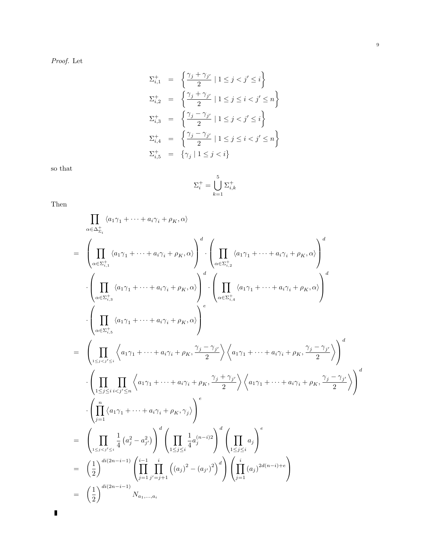Proof. Let

$$
\begin{array}{rcl} \Sigma_{i,1}^+ & = & \left\{ \frac{\gamma_j + \gamma_{j'}}{2} \mid 1 \leq j < j' \leq i \right\} \\ \Sigma_{i,2}^+ & = & \left\{ \frac{\gamma_j + \gamma_{j'}}{2} \mid 1 \leq j \leq i < j' \leq n \right\} \\ \Sigma_{i,3}^+ & = & \left\{ \frac{\gamma_j - \gamma_{j'}}{2} \mid 1 \leq j < j' \leq i \right\} \\ \Sigma_{i,4}^+ & = & \left\{ \frac{\gamma_j - \gamma_{j'}}{2} \mid 1 \leq j \leq i < j' \leq n \right\} \\ \Sigma_{i,5}^+ & = & \left\{ \gamma_j \mid 1 \leq j < i \right\} \end{array}
$$

so that

$$
\Sigma_i^+=\bigcup_{k=1}^5 \Sigma_{i,k}^+
$$

Then

$$
\prod_{\alpha \in \Delta_{\Sigma_i}^+} \langle a_1 \gamma_1 + \dots + a_i \gamma_i + \rho_K, \alpha \rangle
$$
\n
$$
= \left( \prod_{\alpha \in \Sigma_{i,1}^+} \langle a_1 \gamma_1 + \dots + a_i \gamma_i + \rho_K, \alpha \rangle \right)^d \cdot \left( \prod_{\alpha \in \Sigma_{i,2}^+} \langle a_1 \gamma_1 + \dots + a_i \gamma_i + \rho_K, \alpha \rangle \right)^d
$$
\n
$$
\cdot \left( \prod_{\alpha \in \Sigma_{i,3}^+} \langle a_1 \gamma_1 + \dots + a_i \gamma_i + \rho_K, \alpha \rangle \right)^d \cdot \left( \prod_{\alpha \in \Sigma_{i,4}^+} \langle a_1 \gamma_1 + \dots + a_i \gamma_i + \rho_K, \alpha \rangle \right)^d
$$
\n
$$
\cdot \left( \prod_{\alpha \in \Sigma_{i,5}^+} \langle a_1 \gamma_1 + \dots + a_i \gamma_i + \rho_K, \alpha \rangle \right)^e
$$
\n
$$
= \left( \prod_{1 \leq j < j \leq i} \langle a_1 \gamma_1 + \dots + a_i \gamma_i + \rho_K, \frac{\gamma_j - \gamma_{j'}}{2} \rangle \left\langle a_1 \gamma_1 + \dots + a_i \gamma_i + \rho_K, \frac{\gamma_j - \gamma_{j'}}{2} \rangle \right\rangle^d
$$
\n
$$
\cdot \left( \prod_{1 \leq j < i < j \leq n} \langle a_1 \gamma_1 + \dots + a_i \gamma_i + \rho_K, \frac{\gamma_j + \gamma_{j'}}{2} \rangle \left\langle a_1 \gamma_1 + \dots + a_i \gamma_i + \rho_K, \frac{\gamma_j - \gamma_{j'}}{2} \rangle \right\rangle^d
$$
\n
$$
= \left( \prod_{1 \leq j < i < j \leq i} \langle a_1 \gamma_1 + \dots + a_i \gamma_i + \rho_K, \gamma_j \rangle \right)^e
$$
\n
$$
= \left( \prod_{1 \leq j < j \leq i} \frac{1}{4} (a_j^2 - a_{j'}^2) \right)^d \left( \prod_{1 \leq j \leq i} \frac{1}{4} a_j^{(n-j)2} \right)^d \left( \prod_{1 \leq j \leq i} \frac{a_j}{4} \right)^e
$$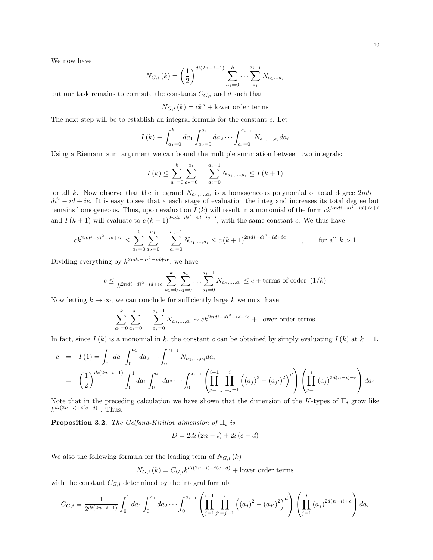We now have

$$
N_{G,i}(k) = \left(\frac{1}{2}\right)^{di(2n-i-1)} \sum_{a_1=0}^{k} \cdots \sum_{a_i}^{a_{i-1}} N_{a_1...a_i}
$$

but our task remains to compute the constants  $C_{G,i}$  and d such that

 $N_{G,i}(k) = ck^{d} +$ lower order terms

The next step will be to establish an integral formula for the constant c. Let

$$
I(k) \equiv \int_{a_1=0}^{k} da_1 \int_{a_2=0}^{a_1} da_2 \cdots \int_{a_i=0}^{a_{i-1}} N_{a_1,\ldots,a_i} da_i
$$

Using a Riemann sum argument we can bound the multiple summation between two integrals:

$$
I(k) \leq \sum_{a_1=0}^{k} \sum_{a_2=0}^{a_1} \dots \sum_{a_i=0}^{a_i-1} N_{a_1,\dots,a_i} \leq I(k+1)
$$

for all k. Now observe that the integrand  $N_{a_1,...,a_i}$  is a homogeneous polynomial of total degree  $2ndi$  –  $di^2 - id + ie$ . It is easy to see that a each stage of evaluation the integrand increases its total degree but remains homogeneous. Thus, upon evaluation  $I(k)$  will result in a monomial of the form  $ck^{2ndi-di^2-id+ie+i}$ and  $I(k+1)$  will evaluate to  $c(k+1)^{2ndi-di^2-id+ie+i}$ , with the same constant c. We thus have

$$
ck^{2ndi - di^2 - id + ie} \le \sum_{a_1=0}^k \sum_{a_2=0}^{a_1} \dots \sum_{a_i=0}^{a_i-1} N_{a_1, \dots, a_i} \le c(k+1)^{2ndi - di^2 - id + ie} \qquad , \qquad \text{for all } k > 1
$$

Dividing everything by  $k^{2ndi-di^2-id+ie}$ , we have

$$
c \le \frac{1}{k^{2ndi - di^2 - id + ie}} \sum_{a_1=0}^k \sum_{a_2=0}^{a_1} \dots \sum_{a_i=0}^{a_i-1} N_{a_1, \dots, a_i} \le c + \text{terms of order } (1/k)
$$

Now letting  $k \to \infty$ , we can conclude for sufficiently large k we must have

$$
\sum_{a_1=0}^k \sum_{a_2=0}^{a_1} \dots \sum_{a_i=0}^{a_i-1} N_{a_1,\dots,a_i} \sim ck^{2ndi - di^2 - id + ie} + \text{ lower order terms}
$$

In fact, since  $I(k)$  is a monomial in k, the constant c can be obtained by simply evaluating  $I(k)$  at  $k = 1$ .

$$
c = I(1) = \int_0^1 da_1 \int_0^{a_1} da_2 \cdots \int_0^{a_{i-1}} N_{a_1, \ldots, a_i} da_i
$$
  
=  $\left(\frac{1}{2}\right)^{di(2n-i-1)} \int_0^1 da_1 \int_0^{a_1} da_2 \cdots \int_0^{a_{i-1}} \left(\prod_{j=1}^{i-1} \prod_{j'=j+1}^i \left((a_j)^2 - (a_{j'})^2\right)^d\right) \left(\prod_{j=1}^i (a_j)^{2d(n-i)+e}\right) da_i$ 

Note that in the preceding calculation we have shown that the dimension of the K-types of  $\Pi_i$  grow like  $k^{di(2n-i)+i(e-d)}$ . Thus,

**Proposition 3.2.** The Gelfand-Kirillov dimension of  $\Pi_i$  is

$$
D = 2di\left(2n - i\right) + 2i\left(e - d\right)
$$

We also the following formula for the leading term of  $N_{G,i}(k)$ 

$$
N_{G,i}(k) = C_{G,i}k^{di(2n-i)+i(e-d)} +
$$
lower order terms

with the constant  $C_{G,i}$  determined by the integral formula

$$
C_{G,i} \equiv \frac{1}{2^{di(2n-i-1)}} \int_0^1 da_1 \int_0^{a_1} da_2 \cdots \int_0^{a_{i-1}} \left( \prod_{j=1}^{i-1} \prod_{j'=j+1}^i \left( (a_j)^2 - (a_{j'})^2 \right)^d \right) \left( \prod_{j=1}^i (a_j)^{2d(n-i)+e} \right) da_i
$$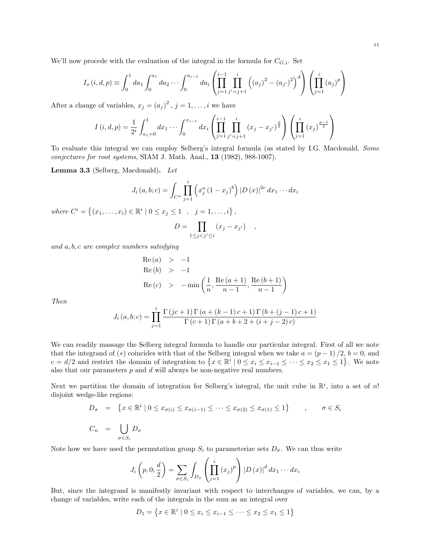We'll now procede with the evaluation of the integral in the formula for  $C_{G,i}$ . Set

$$
I_o(i, d, p) \equiv \int_0^1 da_1 \int_0^{a_1} da_2 \cdots \int_0^{a_{i-1}} da_i \left( \prod_{j=1}^{i-1} \prod_{j'=j+1}^i \left( (a_j)^2 - (a_{j'})^2 \right)^d \right) \left( \prod_{j=1}^i (a_j)^p \right)
$$

After a change of variables,  $x_j = (a_j)^2$ ,  $j = 1, ..., i$  we have

$$
I(i,d,p) = \frac{1}{2^i} \int_{a_1=0}^1 dx_1 \cdots \int_0^{x_{i-1}} dx_i \left( \prod_{j=1}^{i-1} \prod_{j'=j+1}^i (x_j - x_{j'})^{\frac{d}{2}} \right) \left( \prod_{j=1}^i (x_j)^{\frac{p-1}{2}} \right)
$$

To evaluate this integral we can employ Selberg's integral formula (as stated by I.G. Macdonald, Some conjectures for root systems, SIAM J. Math. Anal., 13 (1982), 988-1007).

Lemma 3.3 (Selberg, Macdonald). Let

$$
J_i(a, b; c) = \int_{C^n} \prod_{j=1}^i \left( x_j^a (1 - x_j)^b \right) |D(x)|^{2c} dx_1 \cdots dx_i
$$

where  $C^i = \{(x_1, \ldots, x_i) \in \mathbb{R}^i \mid 0 \le x_j \le 1, \ldots, i\},\$ 

$$
D = \prod_{1 \leq j < j' \leq i} (x_j - x_{j'}) \quad ,
$$

and a, b, c are complex numbers satisfying

Re (a) > -1  
\nRe (b) > -1  
\nRe (c) > -min 
$$
\left(\frac{1}{n}, \frac{\text{Re}(a+1)}{n-1}, \frac{\text{Re}(b+1)}{n-1}\right)
$$

Then

$$
J_i(a, b; c) = \prod_{j=1}^{i} \frac{\Gamma(jc+1)\Gamma(a + (k-1)c + 1)\Gamma(b + (j-1)c + 1)}{\Gamma(c+1)\Gamma(a+b+2+(i+j-2)c)}
$$

We can readily massage the Selberg integral formula to handle our particular integral. First of all we note that the integrand of (\*) coincides with that of the Selberg integral when we take  $a = (p - 1)/2$ ,  $b = 0$ , and  $c = d/2$  and restrict the domain of integration to  $\{x \in \mathbb{R}^i \mid 0 \le x_i \le x_{i-1} \le \cdots \le x_2 \le x_1 \le 1\}$ . We note also that our parameters  $p$  and  $d$  will always be non-negative real numbers.

Next we partition the domain of integration for Selberg's integral, the unit cube in  $\mathbb{R}^i$ , into a set of n! disjoint wedge-like regions:

$$
D_{\sigma} = \{ x \in \mathbb{R}^i \mid 0 \le x_{\sigma(i)} \le x_{\sigma(i-1)} \le \cdots \le x_{\sigma(2)} \le x_{\sigma(1)} \le 1 \}, \quad \sigma \in S_i
$$
  

$$
C_n = \bigcup_{\sigma \in S_i} D_{\sigma}
$$

Note how we have used the permutation group  $S_i$  to parameterize sets  $D_{\sigma}$ . We can thus write

$$
J_i\left(p,0;\frac{d}{2}\right) = \sum_{\sigma \in S_i} \int_{D_{\sigma}} \left(\prod_{j=1}^i (x_j)^p\right) |D(x)|^d dx_1 \cdots dx_i
$$

 $\mathcal{L}$  and  $\mathcal{L}$ 

But, since the integrand is manifestly invariant with respect to interchanges of variables, we can, by a change of variables, write each of the integrals in the sum as an integral over

$$
D_1 = \left\{ x \in \mathbb{R}^i \mid 0 \le x_i \le x_{i-1} \le \dots \le x_2 \le x_1 \le 1 \right\}
$$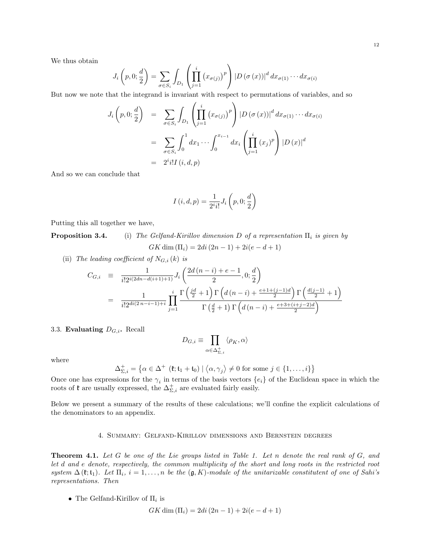We thus obtain

$$
J_i\left(p,0;\frac{d}{2}\right) = \sum_{\sigma \in S_i} \int_{D_1} \left(\prod_{j=1}^i \left(x_{\sigma(j)}\right)^p\right) \left|D\left(\sigma\left(x\right)\right)\right|^d dx_{\sigma(1)} \cdots dx_{\sigma(i)}
$$

But now we note that the integrand is invariant with respect to permutations of variables, and so

$$
J_i\left(p, 0; \frac{d}{2}\right) = \sum_{\sigma \in S_i} \int_{D_1} \left(\prod_{j=1}^i (x_{\sigma(j)})^p\right) \left|D\left(\sigma(x)\right)\right|^d dx_{\sigma(1)} \cdots dx_{\sigma(i)}
$$

$$
= \sum_{\sigma \in S_i} \int_0^1 dx_1 \cdots \int_0^{x_{i-1}} dx_i \left(\prod_{j=1}^i (x_j)^p\right) \left|D\left(x\right)\right|^d
$$

$$
= 2^i i! I(i, d, p)
$$

And so we can conclude that

$$
I(i, d, p) = \frac{1}{2^i i!} J_i\left(p, 0; \frac{d}{2}\right)
$$

Putting this all together we have,

**Proposition 3.4.** (i) The Gelfand-Kirillov dimension D of a representation  $\Pi_i$  is given by  $GK \dim (\Pi_i) = 2di(2n-1) + 2i(e-d+1)$ 

(ii) The leading coefficient of  $N_{G,i}(k)$  is

$$
C_{G,i} = \frac{1}{i!2^{i(2dn-d(i+1)+1)}} J_i\left(\frac{2d(n-i)+e-1}{2}, 0; \frac{d}{2}\right)
$$
  
= 
$$
\frac{1}{i!2^{di(2n-i-1)+i}} \prod_{j=1}^{i} \frac{\Gamma\left(\frac{jd}{2}+1\right) \Gamma\left(d(n-i)+\frac{e+1+(j-1)d}{2}\right) \Gamma\left(\frac{d(j-1)}{2}+1\right)}{\Gamma\left(\frac{d}{2}+1\right) \Gamma\left(d(n-i)+\frac{e+3+(i+j-2)d}{2}\right)}
$$

3.3. Evaluating  $D_{G,i}$ . Recall

$$
D_{G,i} \equiv \prod_{\alpha \in \Delta_{\Sigma,i}^+} \langle \rho_K, \alpha \rangle
$$

where

$$
\Delta_{\Sigma,i}^+ = \left\{ \alpha \in \Delta^+ \ (\mathfrak{k}; \mathfrak{t}_1 + \mathfrak{t}_0) \mid \langle \alpha, \gamma_j \rangle \neq 0 \text{ for some } j \in \{1, \dots, i\} \right\}
$$

Once one has expressions for the  $\gamma_i$  in terms of the basis vectors  $\{e_i\}$  of the Euclidean space in which the roots of  $\mathfrak k$  are usually expressed, the  $\Delta_{\Sigma,i}^+$  are evaluated fairly easily.

Below we present a summary of the results of these calculations; we'll confine the explicit calculations of the denominators to an appendix.

#### 4. Summary: Gelfand-Kirillov dimensions and Bernstein degrees

**Theorem 4.1.** Let G be one of the Lie groups listed in Table 1. Let n denote the real rank of  $G$ , and let d and e denote, respectively, the common multiplicity of the short and long roots in the restricted root system  $\Delta(\mathfrak{k};\mathfrak{t}_1)$ . Let  $\Pi_i$ ,  $i=1,\ldots,n$  be the  $(\mathfrak{g},K)$ -module of the unitarizable constitutent of one of Sahi's representations. Then

• The Gelfand-Kirillov of  $\Pi_i$  is

$$
GK \dim(\Pi_i) = 2di (2n - 1) + 2i(e - d + 1)
$$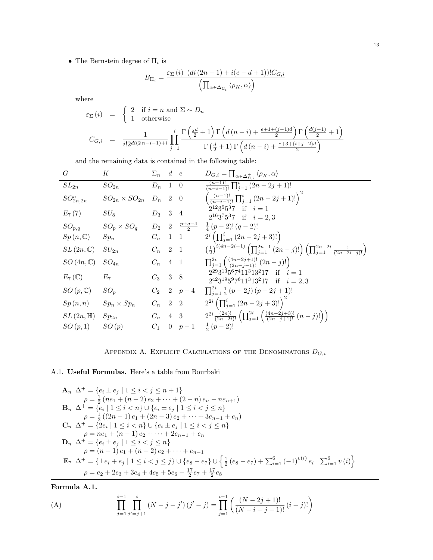• The Bernstein degree of  $\Pi_i$  is

$$
B_{\Pi_i} = \frac{\varepsilon_{\Sigma}(i) \left( di \left( 2n - 1 \right) + i(e - d + 1) \right) ! C_{G,i}}{\left( \prod_{\alpha \in \Delta_{\Sigma_i}} \left\langle \rho_K, \alpha \right\rangle \right)}
$$

where

$$
\varepsilon_{\Sigma}(i) = \begin{cases} 2 & \text{if } i = n \text{ and } \Sigma \sim D_n \\ 1 & \text{otherwise} \end{cases}
$$
  

$$
C_{G,i} = \frac{1}{i!2^{di(2n-i-1)+i}} \prod_{j=1}^{i} \frac{\Gamma\left(\frac{jd}{2}+1\right) \Gamma\left(d(n-i) + \frac{e+1+(j-1)d}{2}\right) \Gamma\left(\frac{d(j-1)}{2}+1\right)}{\Gamma\left(\frac{d}{2}+1\right) \Gamma\left(d(n-i) + \frac{e+3+(i+j-2)d}{2}\right)}
$$

and the remaining data is contained in the following table:

| G                             | К                                            | $\Sigma_n$ d e |               | $D_{G,i} = \prod_{\alpha \in \Delta_{\Sigma,i}^+} \langle \rho_K, \alpha \rangle$                                                      |
|-------------------------------|----------------------------------------------|----------------|---------------|----------------------------------------------------------------------------------------------------------------------------------------|
| $SL_{2n}$                     | $SO_{2n}$                                    | $D_n$ 1 0      |               | $\sqrt{\frac{(n-1)!}{(n-i-1)!}} \prod_{j=1}^i (2n-2j+1)!$                                                                              |
| $SO_{2n,2n}^o$                | $SO_{2n} \times SO_{2n}$ $D_n$ 2 0           |                |               | $\left(\frac{(n-1)!}{(n-i-1)!}\prod_{j=1}^i(2n-2j+1)!\right)^2$                                                                        |
| $E_7(7)$                      | $SU_8$                                       | $D_3$ 3 4      |               | $2^{12}3^55^37$ if $i=1$<br>$2^{16}3^75^37$ if $i=2,3$                                                                                 |
| $SO_{p,q}$                    | $SO_p \times SO_q$ $D_2$ $2 \frac{p+q-4}{2}$ |                |               | $\frac{1}{4}(p-2)!(q-2)!$                                                                                                              |
| $Sp(n,\mathbb{C})$            | $Sp_n$                                       | $C_n$ 1 1      |               | $2^{i} \left( \prod_{j=1}^{i} (2n - 2j + 3)! \right)$                                                                                  |
| $SL(2n,\mathbb{C})$           | $SU_{2n}$                                    | $C_n$ 2 1      |               | $\left(\frac{1}{2}\right)^{i(4n-2i-1)} \left(\prod_{j=1}^{2n-1} (2n-j)! \right) \left(\prod_{j=1}^{2n-2i} \frac{1}{(2n-2i-j)!}\right)$ |
| $SO(4n,\mathbb{C})$           | $SO_{4n}$                                    | $C_n$ 4 1      |               | $\prod_{j=1}^{2i} \left( \frac{(4n-2j+1)!}{(2n-j-1)!} (2n-j)! \right)$                                                                 |
| $E_7(\mathbb{C})$             | $E_7$                                        | $C_3$ 3 8      |               | $2^{29}3^{13}5^67^411^313^217$ if $i=1$<br>$2^{42}3^{19}5^97^611^313^217$ if $i=2,3$                                                   |
| $SO\left(p,\mathbb{C}\right)$ | $SO_p$                                       |                | $C_2$ 2 $p-4$ | $\prod_{i=1}^{2i} \frac{1}{2}(p-2j)(p-2j+1)!$                                                                                          |
| Sp(n,n)                       | $Sp_n\times Sp_n$                            | $C_n$ 2 2      |               | $2^{2i} \left( \prod_{j=1}^{i} (2n-2j+3)! \right)^2$                                                                                   |
| $SL(2n,\mathbb{H})$           | $Sp_{2n}$                                    | $C_n$ 4 3      |               | $2^{2i}\frac{(2n)!}{(2n-2i)!}\left(\prod_{j=1}^{2i}\left(\frac{(4n-2j+3)!}{(2n-j+1)!}(n-j)!\right)\right)$                             |
| SO(p,1)                       | SO(p)                                        | $C_1$          | 0 $p-1$       | $rac{1}{2}(p-2)!$                                                                                                                      |



### A.1. Useful Formulas. Here's a table from Bourbaki

$$
\mathbf{A}_n \ \Delta^+ = \{e_i \pm e_j \mid 1 \leq i < j \leq n+1\} \n\rho = \frac{1}{2} (ne_1 + (n-2)e_2 + \dots + (2-n)e_n - ne_{n+1}) \n\mathbf{B}_n \ \Delta^+ = \{e_i \mid 1 \leq i < n\} \cup \{e_i \pm e_j \mid 1 \leq i < j \leq n\} \n\rho = \frac{1}{2} ((2n-1)e_1 + (2n-3)e_2 + \dots + 3e_{n-1} + e_n) \n\mathbf{C}_n \ \Delta^+ = \{2e_i \mid 1 \leq i < n\} \cup \{e_i \pm e_j \mid 1 \leq i < j \leq n\} \n\rho = ne_1 + (n-1)e_2 + \dots + 2e_{n-1} + e_n \n\mathbf{D}_n \ \Delta^+ = \{e_i \pm e_j \mid 1 \leq i < j \leq n\} \n\rho = (n-1)e_1 + (n-2)e_2 + \dots + e_{n-1} \n\mathbf{E}_7 \ \Delta^+ = \{\pm e_i + e_j \mid 1 \leq i < j \leq j\} \cup \{e_8 - e_7\} \cup \{\frac{1}{2}(e_8 - e_7) + \sum_{i=1}^6 (-1)^{v(i)} e_i \mid \sum_{i=1}^6 v(i)\} \n\rho = e_2 + 2e_3 + 3e_4 + 4e_5 + 5e_6 - \frac{17}{2}e_7 + \frac{17}{2}e_8
$$

Formula A.1.

(A) 
$$
\prod_{j=1}^{i-1} \prod_{j'=j+1}^{i} (N-j-j') (j'-j) = \prod_{j=1}^{i-1} \left( \frac{(N-2j+1)!}{(N-i-j-1)!} (i-j)! \right)
$$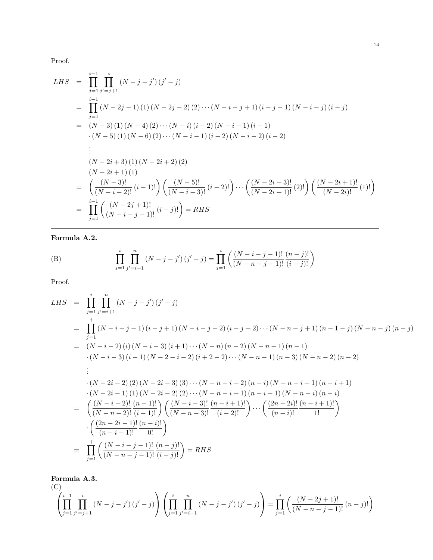Proof.

LHS = 
$$
\prod_{j=1}^{i-1} \prod_{j' = j+1}^{i} (N-j-j') (j'-j)
$$
  
\n= 
$$
\prod_{j=1}^{i-1} (N-2j-1) (1) (N-2j-2) (2) \cdots (N-i-j+1) (i-j-1) (N-i-j) (i-j)
$$
  
\n= 
$$
(N-3) (1) (N-4) (2) \cdots (N-i) (i-2) (N-i-1) (i-1)
$$
  
\n
$$
\cdot (N-5) (1) (N-6) (2) \cdots (N-i-1) (i-2) (N-i-2) (i-2)
$$
  
\n:  
\n
$$
(N-2i+3) (1) (N-2i+2) (2)
$$
  
\n
$$
\cdot (N-2i+1) (1)
$$
  
\n= 
$$
\left(\frac{(N-3)!}{(N-i-2)!} (i-1)! \right) \left(\frac{(N-5)!}{(N-i-3)!} (i-2)! \right) \cdots \left(\frac{(N-2i+3)!}{(N-2i+1)!} (2)! \right) \left(\frac{(N-2i+1)!}{(N-2i)!} (1)! \right)
$$
  
\n= 
$$
\prod_{j=1}^{i-1} \left(\frac{(N-2j+1)!}{(N-i-j-1)!} (i-j)! \right) = RHS
$$

Formula A.2.

(B) 
$$
\prod_{j=1}^{i} \prod_{j'=i+1}^{n} (N-j-j') (j'-j) = \prod_{j=1}^{i} \left( \frac{(N-i-j-1)!}{(N-n-j-1)!} \frac{(n-j)!}{(i-j)!} \right)
$$

Proof.

LHS = 
$$
\prod_{j=1}^{i} \prod_{j'=i+1}^{n} (N-j-j') (j'-j)
$$
  
\n= 
$$
\prod_{j=1}^{i} (N-i-j-1) (i-j+1) (N-i-j-2) (i-j+2) \cdots (N-n-j+1) (n-1-j) (N-n-j) (n-j)
$$
  
\n= 
$$
(N-i-2) (i) (N-i-3) (i+1) \cdots (N-n) (n-2) (N-n-1) (n-1)
$$
  
\n
$$
\cdot (N-i-3) (i-1) (N-2-i-2) (i+2-2) \cdots (N-n-1) (n-3) (N-n-2) (n-2)
$$
  
\n:  
\n
$$
\cdot (N-2i-2) (2) (N-2i-3) (3) \cdots (N-n-i+2) (n-i) (N-n-i+1) (n-i+1)
$$
  
\n
$$
\cdot (N-2i-1) (1) (N-2i-2) (2) \cdots (N-n-i+1) (n-i-1) (N-n-i) (n-i)
$$
  
\n
$$
= \left(\frac{(N-i-2)!}{(N-n-2)!} \frac{(n-1)!}{(i-1)!} \right) \left(\frac{(N-i-3)!}{(N-n-3)!} \frac{(n-i+1)!}{(i-2)!}\right) \cdots \left(\frac{(2n-2i)!}{(n-i)!} \frac{(n-i+1)!}{1!}\right)
$$
  
\n
$$
\cdot \left(\frac{(2n-2i-1)!}{(n-i-1)!} \frac{(n-i)!}{0!}\right)
$$
  
\n= 
$$
\prod_{j=1}^{i} \left(\frac{(N-i-j-1)!}{(N-n-j-1)!} \frac{(n-j)!}{(i-j)!}\right) = RHS
$$

Formula A.3.  $(C)$ 

$$
\left(\prod_{j=1}^{i-1} \prod_{j'=j+1}^{i} (N-j-j') (j'-j) \right) \left(\prod_{j=1}^{i} \prod_{j'=i+1}^{n} (N-j-j') (j'-j) \right) = \prod_{j=1}^{i} \left(\frac{(N-2j+1)!}{(N-n-j-1)!} (n-j)! \right)
$$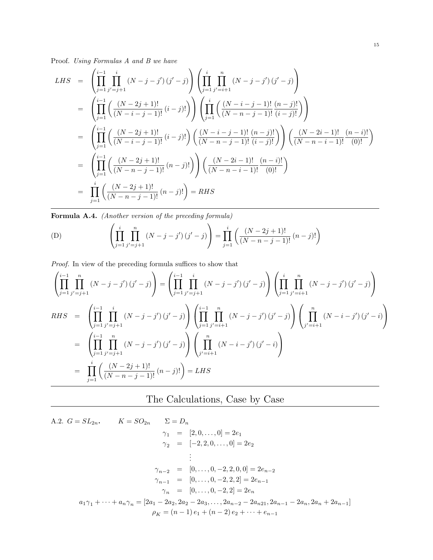Proof. Using Formulas A and B we have

LHS = 
$$
\left(\prod_{j=1}^{i-1} \prod_{j'=j+1}^{i} (N-j-j') (j'-j)\right) \left(\prod_{j=1}^{i} \prod_{j'=i+1}^{n} (N-j-j') (j'-j)\right)
$$
  
\n= 
$$
\left(\prod_{j=1}^{i-1} \left(\frac{(N-2j+1)!}{(N-i-j-1)!} (i-j)! \right) \left(\prod_{j=1}^{i} \left(\frac{(N-i-j-1)!}{(N-n-j-1)!} \frac{(n-j)!}{(i-j)!}\right)\right)
$$
  
\n= 
$$
\left(\prod_{j=1}^{i-1} \left(\frac{(N-2j+1)!}{(N-i-j-1)!} (i-j)! \right) \left(\frac{(N-i-j-1)!}{(N-n-j-1)!} \frac{(n-j)!}{(i-j)!}\right)\right) \left(\frac{(N-2i-1)!}{(N-n-i-1)!} \frac{(n-i)!}{(0)!}\right)
$$
  
\n= 
$$
\left(\prod_{j=1}^{i-1} \left(\frac{(N-2j+1)!}{(N-n-j-1)!} (n-j)! \right) \left(\frac{(N-2i-1)!}{(N-n-i-1)!} \frac{(n-i)!}{(0)!}\right)\right)
$$
  
\n= 
$$
\prod_{j=1}^{i} \left(\frac{(N-2j+1)!}{(N-n-j-1)!} (n-j)! \right) = RHS
$$

Formula A.4. (Another version of the preceding formula)

(D) 
$$
\left(\prod_{j=1}^{i} \prod_{j'=j+1}^{n} (N-j-j') (j'-j)\right) = \prod_{j=1}^{i} \left(\frac{(N-2j+1)!}{(N-n-j-1)!} (n-j)! \right)
$$

Proof. In view of the preceding formula suffices to show that

$$
\left(\prod_{j=1}^{i-1} \prod_{j'=j+1}^{n} (N-j-j') (j'-j)\right) = \left(\prod_{j=1}^{i-1} \prod_{j'=j+1}^{i} (N-j-j') (j'-j)\right) \left(\prod_{j=1}^{i} \prod_{j'=i+1}^{n} (N-j-j') (j'-j)\right)
$$
  
RHS = 
$$
\left(\prod_{j=1}^{i-1} \prod_{j'=j+1}^{i} (N-j-j') (j'-j)\right) \left(\prod_{j=1}^{i-1} \prod_{j'=i+1}^{n} (N-j-j') (j'-j)\right) \left(\prod_{j'=i+1}^{n} (N-i-j') (j'-i)\right)
$$
  
= 
$$
\left(\prod_{j=1}^{i-1} \prod_{j'=j+1}^{n} (N-j-j') (j'-j)\right) \left(\prod_{j'=i+1}^{n} (N-i-j') (j'-i)\right)
$$
  
= 
$$
\prod_{j=1}^{i} \left(\frac{(N-2j+1)!}{(N-n-j-1)!} (n-j)! \right) = LHS
$$

## The Calculations, Case by Case

A.2. 
$$
G = SL_{2n}
$$
,  $K = SO_{2n}$   $\Sigma = D_n$   
\n $\gamma_1 = [2, 0, ..., 0] = 2e_1$   
\n $\gamma_2 = [-2, 2, 0, ..., 0] = 2e_2$   
\n $\vdots$   
\n $\gamma_{n-2} = [0, ..., 0, -2, 2, 0, 0] = 2e_{n-2}$   
\n $\gamma_{n-1} = [0, ..., 0, -2, 2, 2] = 2e_{n-1}$   
\n $\gamma_n = [0, ..., 0, -2, 2] = 2e_n$   
\n $a_1\gamma_1 + \cdots + a_n\gamma_n = [2a_1 - 2a_2, 2a_2 - 2a_3, ..., 2a_{n-2} - 2a_{n21}, 2a_{n-1} - 2a_n, 2a_n + 2a_{n-1}]$   
\n $\rho_K = (n-1)e_1 + (n-2)e_2 + \cdots + e_{n-1}$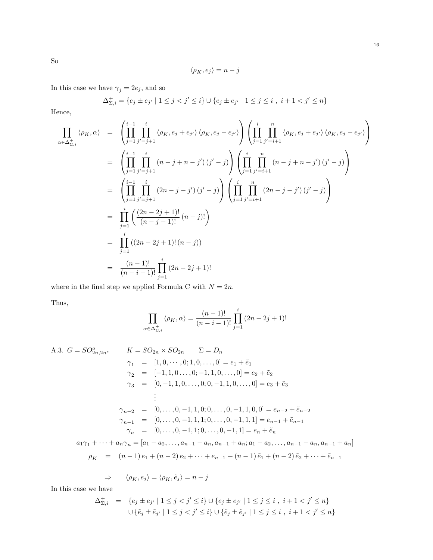$$
\langle \rho_K,e_j\rangle=n-j
$$

In this case we have  $\gamma_j=2e_j,$  and so

$$
\Delta_{\Sigma,i}^+ = \{ e_j \pm e_{j'} \mid 1 \le j < j' \le i \} \cup \{ e_j \pm e_{j'} \mid 1 \le j \le i , i+1 < j' \le n \}
$$

Hence,

$$
\prod_{\alpha \in \Delta_{\Sigma,i}^+} \langle \rho_K, \alpha \rangle = \left( \prod_{j=1}^{i-1} \prod_{j'=j+1}^i \langle \rho_K, e_j + e_{j'} \rangle \langle \rho_K, e_j - e_{j'} \rangle \right) \left( \prod_{j=1}^i \prod_{j'=i+1}^n \langle \rho_K, e_j + e_{j'} \rangle \langle \rho_K, e_j - e_{j'} \rangle \right)
$$
\n
$$
= \left( \prod_{j=1}^{i-1} \prod_{j'=j+1}^i (n-j+n-j') \left( j'-j \right) \right) \left( \prod_{j=1}^i \prod_{j'=i+1}^n (n-j+n-j') \left( j'-j \right) \right)
$$
\n
$$
= \left( \prod_{j=1}^{i-1} \prod_{j'=j+1}^i (2n-j-j') \left( j'-j \right) \right) \left( \prod_{j=1}^i \prod_{j'=i+1}^n (2n-j-j') \left( j'-j \right) \right)
$$
\n
$$
= \prod_{j=1}^i \left( \frac{(2n-2j+1)!}{(n-j-1)!} (n-j)! \right)
$$
\n
$$
= \prod_{j=1}^i ((2n-2j+1)!(n-j))
$$
\n
$$
= \frac{(n-1)!}{(n-i-1)!} \prod_{j=1}^i (2n-2j+1)!
$$

where in the final step we applied Formula C with  ${\cal N}=2n.$ 

Thus,

$$
\prod_{\alpha \in \Delta_{\Sigma,i}^+} \langle \rho_K, \alpha \rangle = \frac{(n-1)!}{(n-i-1)!} \prod_{j=1}^i (2n-2j+1)!
$$

A.3. 
$$
G = SO_{2n,2n}
$$
,  $K = SO_{2n} \times SO_{2n}$   $\Sigma = D_n$   
\n $\gamma_1 = [1, 0, \dots, 0; 1, 0, \dots, 0] = e_1 + \tilde{e}_1$   
\n $\gamma_2 = [-1, 1, 0, \dots, 0; -1, 1, 0, \dots, 0] = e_2 + \tilde{e}_2$   
\n $\gamma_3 = [0, -1, 1, 0, \dots, 0; 0, -1, 1, 0, \dots, 0] = e_3 + \tilde{e}_3$   
\n $\vdots$   
\n $\gamma_{n-2} = [0, \dots, 0, -1, 1, 0; 0, \dots, 0, -1, 1, 0, 0] = e_{n-2} + \tilde{e}_{n-2}$   
\n $\gamma_{n-1} = [0, \dots, 0, -1, 1, 1; 0, \dots, 0, -1, 1, 1] = e_{n-1} + \tilde{e}_{n-1}$   
\n $\gamma_n = [0, \dots, 0, -1, 1; 0, \dots, 0, -1, 1] = e_n + \tilde{e}_n$   
\n $a_1 \gamma_1 + \dots + a_n \gamma_n = [a_1 - a_2, \dots, a_{n-1} - a_n, a_{n-1} + a_n; a_1 - a_2, \dots, a_{n-1} - a_n, a_{n-1} + a_n]$   
\n $\rho_K = (n-1) e_1 + (n-2) e_2 + \dots + e_{n-1} + (n-1) \tilde{e}_1 + (n-2) \tilde{e}_2 + \dots + \tilde{e}_{n-1}$ 

$$
\Rightarrow \langle \rho_K, e_j \rangle = \langle \rho_K, \tilde{e}_j \rangle = n - j
$$

In this case we have

$$
\Delta_{\Sigma,i}^+ = \{e_j \pm e_{j'} \mid 1 \leq j < j' \leq i\} \cup \{e_j \pm e_{j'} \mid 1 \leq j \leq i, \ i+1 < j' \leq n\}
$$
\n
$$
\cup \{\tilde{e}_j \pm \tilde{e}_{j'} \mid 1 \leq j < j' \leq i\} \cup \{\tilde{e}_j \pm \tilde{e}_{j'} \mid 1 \leq j \leq i, \ i+1 < j' \leq n\}
$$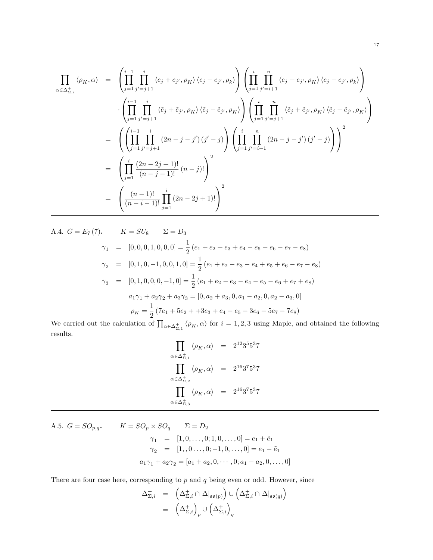$$
\prod_{\alpha \in \Delta_{\Sigma,i}^+} \langle \rho_K, \alpha \rangle = \left( \prod_{j=1}^{i-1} \prod_{j'=j+1}^i \langle e_j + e_{j'}, \rho_K \rangle \langle e_j - e_{j'}, \rho_k \rangle \right) \left( \prod_{j=1}^i \prod_{j'=i+1}^n \langle e_j + e_{j'}, \rho_K \rangle \langle e_j - e_{j'}, \rho_k \rangle \right)
$$
\n
$$
\cdot \left( \prod_{j=1}^{i-1} \prod_{j'=j+1}^i \langle \tilde{e}_j + \tilde{e}_{j'}, \rho_K \rangle \langle \tilde{e}_j - \tilde{e}_{j'}, \rho_K \rangle \right) \left( \prod_{j=1}^i \prod_{j'=j+1}^n \langle \tilde{e}_j + \tilde{e}_{j'}, \rho_K \rangle \langle \tilde{e}_j - \tilde{e}_{j'}, \rho_K \rangle \right)
$$
\n
$$
= \left( \left( \prod_{j=1}^{i-1} \prod_{j'=j+1}^i (2n-j-j') (j'-j) \right) \left( \prod_{j=1}^i \prod_{j'=i+1}^n (2n-j-j') (j'-j) \right) \right)^2
$$
\n
$$
= \left( \prod_{j=1}^i \frac{(2n-2j+1)!}{(n-j-1)!} (n-j)! \right)^2
$$
\n
$$
= \left( \frac{(n-1)!}{(n-i-1)!} \prod_{j=1}^i (2n-2j+1)! \right)^2
$$

A.4. 
$$
G = E_7(7)
$$
.  
\n
$$
K = SU_8
$$
\n
$$
\Sigma = D_3
$$
\n
$$
\gamma_1 = [0, 0, 0, 1, 0, 0, 0] = \frac{1}{2} (e_1 + e_2 + e_3 + e_4 - e_5 - e_6 - e_7 - e_8)
$$
\n
$$
\gamma_2 = [0, 1, 0, -1, 0, 0, 1, 0] = \frac{1}{2} (e_1 + e_2 - e_3 - e_4 + e_5 + e_6 - e_7 - e_8)
$$
\n
$$
\gamma_3 = [0, 1, 0, 0, 0, -1, 0] = \frac{1}{2} (e_1 + e_2 - e_3 - e_4 - e_5 - e_6 + e_7 + e_8)
$$
\n
$$
a_1 \gamma_1 + a_2 \gamma_2 + a_3 \gamma_3 = [0, a_2 + a_3, 0, a_1 - a_2, 0, a_2 - a_3, 0]
$$
\n
$$
\rho_K = \frac{1}{2} (7e_1 + 5e_2 + 3e_3 + e_4 - e_5 - 3e_6 - 5e_7 - 7e_8)
$$

We carried out the calculation of  $\prod_{\alpha\in\Delta_{\Sigma,1}^+}\langle\rho_K,\alpha\rangle$  for  $i=1,2,3$  using Maple, and obtained the following results.

$$
\begin{array}{rcl} \prod\limits_{\alpha\in\Delta^+_{\Sigma,1}}\langle\rho_K,\alpha\rangle&=&2^{12}3^55^37\\ \prod\limits_{\alpha\in\Delta^+_{\Sigma,2}}\langle\rho_K,\alpha\rangle&=&2^{16}3^75^37\\ \prod\limits_{\alpha\in\Delta^+_{\Sigma,3}}\langle\rho_K,\alpha\rangle&=&2^{16}3^75^37 \end{array}
$$

A.5. 
$$
G = SO_{p,q}
$$
,  $K = SO_p \times SO_q$   $\Sigma = D_2$   
\n $\gamma_1 = [1, 0, ..., 0; 1, 0, ..., 0] = e_1 + \tilde{e}_1$   
\n $\gamma_2 = [1, 0, ..., 0; -1, 0, ..., 0] = e_1 - \tilde{e}_1$   
\n $a_1 \gamma_1 + a_2 \gamma_2 = [a_1 + a_2, 0, ..., 0; a_1 - a_2, 0, ..., 0]$ 

There are four case here, corresponding to  $p$  and  $q$  being even or odd. However, since

$$
\Delta_{\Sigma,i}^+ = \left(\Delta_{\Sigma,i}^+ \cap \Delta|_{\mathfrak{so}(p)}\right) \cup \left(\Delta_{\Sigma,i}^+ \cap \Delta|_{\mathfrak{so}(q)}\right)
$$
  

$$
\equiv \left(\Delta_{\Sigma,i}^+\right)_p \cup \left(\Delta_{\Sigma,i}^+\right)_q
$$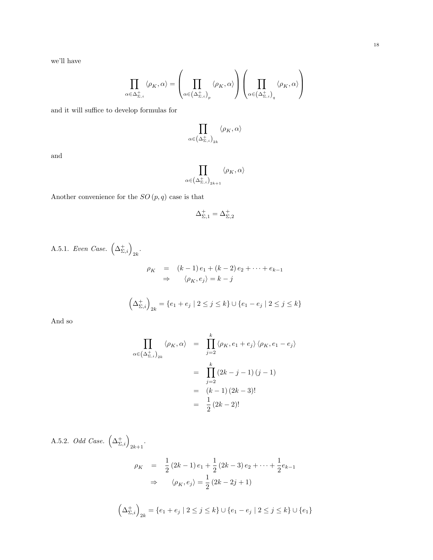we'll have

$$
\prod_{\alpha\in\Delta_{\Sigma,i}^+} \langle\rho_K,\alpha\rangle = \left(\prod_{\alpha\in\left(\Delta_{\Sigma,i}^+\right)_p} \langle\rho_K,\alpha\rangle\right)\left(\prod_{\alpha\in\left(\Delta_{\Sigma,i}^+\right)_q} \langle\rho_K,\alpha\rangle\right)
$$

and it will suffice to develop formulas for

$$
\prod_{\alpha\in\left(\Delta^+_{\Sigma,i}\right)_{2k}}\left\langle \rho_K,\alpha\right\rangle
$$

and

$$
\prod_{\alpha\in\left(\Delta^+_{\Sigma,i}\right)_{2k+1}}\left\langle\rho_K,\alpha\right\rangle
$$

Another convenience for the  $SO\left( p,q\right)$  case is that

$$
\Delta_{\Sigma,1}^+=\Delta_{\Sigma,2}^+
$$

A.5.1. Even Case. 
$$
\left(\Delta_{\Sigma,i}^+\right)_{2k}.
$$

$$
\rho_K = (k-1)e_1 + (k-2)e_2 + \dots + e_{k-1}
$$

$$
\Rightarrow \left(\rho_K, e_j\right) = k - j
$$

$$
\left(\Delta_{\Sigma,i}^+\right)_{2k} = \left\{e_1 + e_j \mid 2 \le j \le k\right\} \cup \left\{e_1 - e_j \mid 2 \le j \le k\right\}
$$

And so

$$
\prod_{\alpha \in (\Delta_{\Sigma,i}^+)_2} \langle \rho_K, \alpha \rangle = \prod_{j=2}^k \langle \rho_K, e_1 + e_j \rangle \langle \rho_K, e_1 - e_j \rangle
$$

$$
= \prod_{j=2}^k (2k - j - 1) (j - 1)
$$

$$
= (k - 1) (2k - 3)!
$$

$$
= \frac{1}{2} (2k - 2)!
$$

A.5.2. *Odd Case.* 
$$
(\Delta_{\Sigma,i}^+)_{{2k+1}}
$$
.  
\n
$$
\rho_K = \frac{1}{2} (2k-1) e_1 + \frac{1}{2} (2k-3) e_2 + \dots + \frac{1}{2} e_{k-1}
$$
\n
$$
\Rightarrow \langle \rho_K, e_j \rangle = \frac{1}{2} (2k-2j+1)
$$
\n
$$
(\Delta_{\Sigma,i}^+)_{{2k}} = \{e_1 + e_j \mid 2 \le j \le k\} \cup \{e_1 - e_j \mid 2 \le j \le k\} \cup \{e_1\}
$$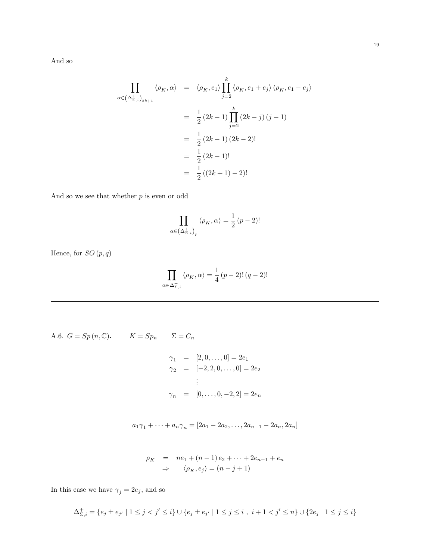And so

$$
\prod_{\alpha \in (\Delta_{\Sigma,i}^+)_{{}_{2k+1}}} \langle \rho_K, \alpha \rangle = \langle \rho_K, e_1 \rangle \prod_{j=2}^k \langle \rho_K, e_1 + e_j \rangle \langle \rho_K, e_1 - e_j \rangle
$$

$$
= \frac{1}{2} (2k-1) \prod_{j=2}^k (2k-j) (j-1)
$$

$$
= \frac{1}{2} (2k-1) (2k-2)!
$$

$$
= \frac{1}{2} (2k-1)!
$$

$$
= \frac{1}{2} ((2k+1) - 2)!
$$

And so we see that whether  $\boldsymbol{p}$  is even or odd

$$
\prod_{\alpha \in (\Delta_{\Sigma,i}^+)_p} \langle \rho_K, \alpha \rangle = \frac{1}{2} (p-2)!
$$

Hence, for  $SO\left( p,q\right)$ 

$$
\prod_{\alpha \in \Delta_{\Sigma,i}^+} \langle \rho_K, \alpha \rangle = \frac{1}{4} (p-2)! (q-2)!
$$

A.6.  $G = Sp(n, \mathbb{C})$ .  $K = Sp_n$   $\Sigma = C_n$  $\gamma_1 \hspace{3mm} = \hspace{3mm} [2,0,\ldots,0] = 2e_1$  $\gamma_2 = [-2, 2, 0, \dots, 0] = 2e_2$ . . .  $\gamma_n = [0, \ldots, 0, -2, 2] = 2e_n$ 

$$
a_1\gamma_1 + \dots + a_n\gamma_n = [2a_1 - 2a_2, \dots, 2a_{n-1} - 2a_n, 2a_n]
$$

$$
\rho_K = ne_1 + (n-1)e_2 + \dots + 2e_{n-1} + e_n
$$
  
\n
$$
\Rightarrow \langle \rho_K, e_j \rangle = (n-j+1)
$$

In this case we have  $\gamma_j=2e_j,$  and so

$$
\Delta_{\Sigma,i}^+ = \{e_j \pm e_{j'} \mid 1 \leq j < j' \leq i\} \cup \{e_j \pm e_{j'} \mid 1 \leq j \leq i\ ,\ i+1 < j' \leq n\} \cup \{2e_j \mid 1 \leq j \leq i\}
$$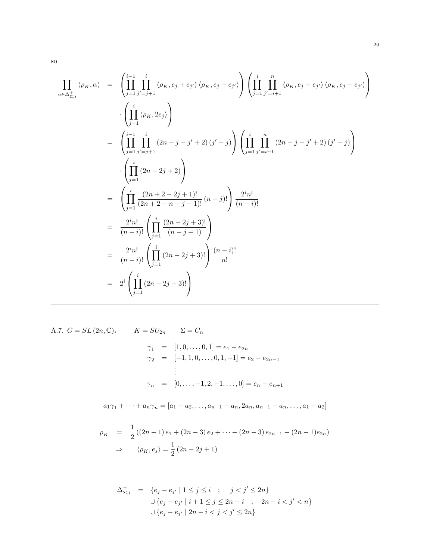$$
\prod_{\alpha \in \Delta_{\Sigma,i}^+} \langle \rho_K, \alpha \rangle = \left( \prod_{j=1}^{i-1} \prod_{j'=j+1}^i \langle \rho_K, e_j + e_{j'} \rangle \langle \rho_K, e_j - e_{j'} \rangle \right) \left( \prod_{j=1}^i \prod_{j'=i+1}^n \langle \rho_K, e_j + e_{j'} \rangle \langle \rho_K, e_j - e_{j'} \rangle \right)
$$
\n
$$
= \left( \prod_{j=1}^i \prod_{j'=j+1}^i (2n - j - j' + 2) (j' - j) \right) \left( \prod_{j=1}^i \prod_{j'=i+1}^n (2n - j - j' + 2) (j' - j) \right)
$$
\n
$$
\cdot \left( \prod_{j=1}^i (2n - 2j + 2) \right)
$$
\n
$$
= \left( \prod_{j=1}^i \frac{(2n + 2 - 2j + 1)!}{(2n + 2 - n - j - 1)!} (n - j)! \right) \frac{2^i n!}{(n - i)!}
$$
\n
$$
= \frac{2^i n!}{(n - i)!} \left( \prod_{j=1}^i \frac{(2n - 2j + 3)!}{(n - j + 1)!} \right)
$$
\n
$$
= \frac{2^i n!}{(n - i)!} \left( \prod_{j=1}^i (2n - 2j + 3)! \right) \frac{(n - i)!}{n!}
$$
\n
$$
= 2^i \left( \prod_{j=1}^i (2n - 2j + 3)! \right)
$$

A.7.  $G = SL(2n, \mathbb{C})$ .  $K = SU_{2n}$   $\Sigma = C_n$  $\gamma_1 = [1, 0, \ldots, 0, 1] = e_1 - e_{2n}$  $\gamma_2 = [-1, 1, 0, \ldots, 0, 1, -1] = e_2 - e_{2n-1}$ . . .  $\gamma_n = [0, \ldots, -1, 2, -1, \ldots, 0] = e_n - e_{n+1}$ 

 $a_1\gamma_1 + \cdots + a_n\gamma_n = [a_1 - a_2, \ldots, a_{n-1} - a_n, 2a_n, a_{n-1} - a_n, \ldots, a_1 - a_2]$ 

$$
\rho_K = \frac{1}{2} ((2n - 1) e_1 + (2n - 3) e_2 + \dots - (2n - 3) e_{2n - 1} - (2n - 1) e_{2n})
$$
  
\n
$$
\Rightarrow \langle \rho_K, e_j \rangle = \frac{1}{2} (2n - 2j + 1)
$$

$$
\Delta_{\Sigma,i}^+ = \{e_j - e_{j'} \mid 1 \le j \le i \; ; \; j < j' \le 2n\}
$$
\n
$$
\cup \{e_j - e_{j'} \mid i + 1 \le j \le 2n - i \; ; \; 2n - i < j' < n\}
$$
\n
$$
\cup \{e_j - e_{j'} \mid 2n - i < j < j' \le 2n\}
$$

so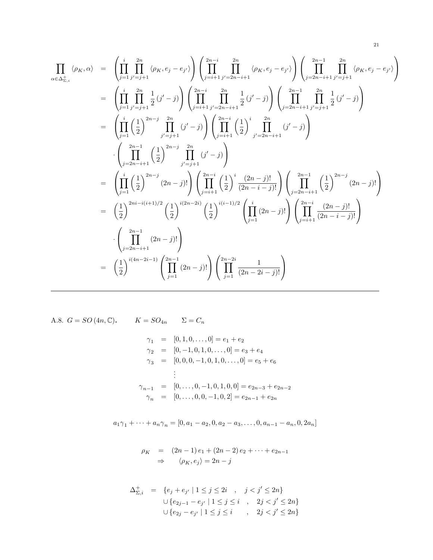$$
\prod_{\alpha \in \Delta_{\Sigma,i}^+} \langle \rho_K, \alpha \rangle = \left( \prod_{j=1}^i \prod_{j'=j+1}^{2n} \langle \rho_K, e_j - e_{j'} \rangle \right) \left( \prod_{j=i+1}^{2n-1} \prod_{j'=2n-i+1}^{2n} \langle \rho_K, e_j - e_{j'} \rangle \right) \left( \prod_{j=2n-i+1}^{2n-1} \prod_{j'=j+1}^{2n} \langle \rho_K, e_j - e_{j'} \rangle \right)
$$
\n
$$
= \left( \prod_{j=1}^i \prod_{j'=j+1}^{2n-1} \frac{1}{2} (j'-j) \right) \left( \prod_{j=i+1}^{2n-1} \prod_{j'=2n-i+1}^{2n} \frac{1}{2} (j'-j) \right) \left( \prod_{j=2n-i+1}^{2n-1} \prod_{j'=j+1}^{2n} \frac{1}{2} (j'-j) \right)
$$
\n
$$
= \left( \prod_{j=1}^i \left( \frac{1}{2} \right)^{2n-j} \prod_{j'=j+1}^{2n} (j'-j) \right) \left( \prod_{j=i+1}^{2n-1} \left( \frac{1}{2} \right)^i \prod_{j'=2n-i+1}^{2n} (j'-j) \right)
$$
\n
$$
\cdot \left( \prod_{j=2n-i+1}^{2n-1} \left( \frac{1}{2} \right)^{2n-j} \prod_{j'=j+1}^{2n} (j'-j) \right)
$$
\n
$$
= \left( \prod_{j=1}^i \left( \frac{1}{2} \right)^{2n-j} (2n-j)! \right) \left( \prod_{j=i+1}^{2n-1} \left( \frac{1}{2} \right)^i \frac{(2n-j)!}{(2n-i-j)!} \right) \left( \prod_{j=2n-i+1}^{2n-1} \left( \frac{1}{2} \right)^{2n-j} (2n-j)! \right)
$$
\n
$$
= \left( \frac{1}{2} \right)^{2n-i+1} (2n-j)! \right)
$$
\n
$$
\cdot \left( \prod_{j=2n-i+1}^{2n-1} (2n-j)! \right)
$$
\n
$$
= \left( \frac{1}{2} \right)^{i(4n-2i-1)} \left( \
$$

A.8. 
$$
G = SO(4n, \mathbb{C})
$$
.  
\n
$$
K = SO_{4n} \qquad \Sigma = C_n
$$
\n
$$
\gamma_1 = [0, 1, 0, \dots, 0] = e_1 + e_2
$$
\n
$$
\gamma_2 = [0, -1, 0, 1, 0, \dots, 0] = e_3 + e_4
$$
\n
$$
\gamma_3 = [0, 0, 0, -1, 0, 1, 0, \dots, 0] = e_5 + e_6
$$
\n
$$
\vdots
$$
\n
$$
\gamma_{n-1} = [0, \dots, 0, -1, 0, 1, 0, 0] = e_{2n-3} + e_{2n-2}
$$
\n
$$
\gamma_n = [0, \dots, 0, 0, -1, 0, 2] = e_{2n-1} + e_{2n}
$$

 $a_1\gamma_1 + \cdots + a_n\gamma_n = [0, a_1 - a_2, 0, a_2 - a_3, \ldots, 0, a_{n-1} - a_n, 0, 2a_n]$ 

$$
\rho_K = (2n-1)e_1 + (2n-2)e_2 + \dots + e_{2n-1}
$$
  
\n
$$
\Rightarrow \langle \rho_K, e_j \rangle = 2n - j
$$

$$
\Delta_{\Sigma,i}^+ = \{ e_j + e_{j'} \mid 1 \le j \le 2i , j < j' \le 2n \}
$$
  

$$
\cup \{ e_{2j-1} - e_{j'} \mid 1 \le j \le i , 2j < j' \le 2n \}
$$
  

$$
\cup \{ e_{2j} - e_{j'} \mid 1 \le j \le i , 2j < j' \le 2n \}
$$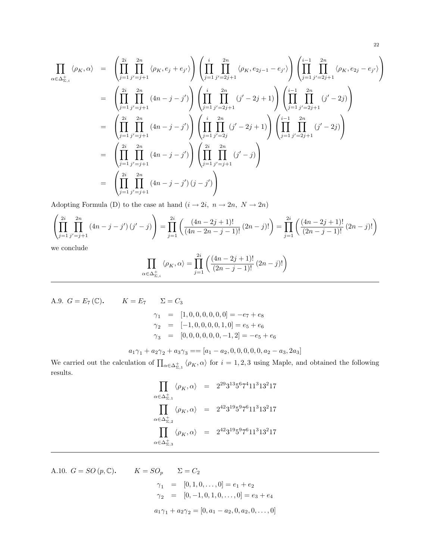$$
\prod_{\alpha \in \Delta_{\Sigma,i}^+} \langle \rho_K, \alpha \rangle = \left( \prod_{j=1}^{2i} \prod_{j'=j+1}^{2n} \langle \rho_K, e_j + e_{j'} \rangle \right) \left( \prod_{j=1}^i \prod_{j'=2j+1}^{2n} \langle \rho_K, e_{2j-1} - e_{j'} \rangle \right) \left( \prod_{j=1}^{i-1} \prod_{j'=2j+1}^{2n} \langle \rho_K, e_{2j} - e_{j'} \rangle \right)
$$
\n
$$
= \left( \prod_{j=1}^{2i} \prod_{j'=j+1}^{2n} (4n - j - j') \right) \left( \prod_{j=1}^i \prod_{j'=2j+1}^{2n} (j' - 2j + 1) \right) \left( \prod_{j=1}^{i-1} \prod_{j'=2j+1}^{2n} (j' - 2j) \right)
$$
\n
$$
= \left( \prod_{j=1}^{2i} \prod_{j'=j+1}^{2n} (4n - j - j') \right) \left( \prod_{j=1}^i \prod_{j'=2j}^{2n} (j' - 2j + 1) \right) \left( \prod_{j=1}^{i-1} \prod_{j'=2j+1}^{2n} (j' - 2j) \right)
$$
\n
$$
= \left( \prod_{j=1}^{2i} \prod_{j'=j+1}^{2n} (4n - j - j') \right) \left( \prod_{j=1}^2 \prod_{j'=j+1}^{2n} (j' - j) \right)
$$
\n
$$
= \left( \prod_{j=1}^{2i} \prod_{j'=j+1}^{2n} (4n - j - j') (j - j') \right)
$$

Adopting Formula (D) to the case at hand  $(i \rightarrow 2i, n \rightarrow 2n, N \rightarrow 2n)$ 

$$
\left(\prod_{j=1}^{2i} \prod_{j'=j+1}^{2n} (4n-j-j')\left(j'-j\right)\right) = \prod_{j=1}^{2i} \left(\frac{(4n-2j+1)!}{(4n-2n-j-1)!}\left(2n-j\right)!\right) = \prod_{j=1}^{2i} \left(\frac{(4n-2j+1)!}{(2n-j-1)!}\left(2n-j\right)!\right)
$$

we conclude

$$
\prod_{\alpha\in\Delta_{\Sigma,i}^+} \left<\rho_K,\alpha\right> = \prod_{j=1}^{2i} \left(\frac{(4n-2j+1)!}{(2n-j-1)!}\,(2n-j)!\right)
$$

A.9. 
$$
G = E_7(\mathbb{C})
$$
.  
\n
$$
K = E_7 \qquad \Sigma = C_3
$$
\n
$$
\gamma_1 = [1, 0, 0, 0, 0, 0, 0] = -e_7 + e_8
$$
\n
$$
\gamma_2 = [-1, 0, 0, 0, 0, 1, 0] = e_5 + e_6
$$
\n
$$
\gamma_3 = [0, 0, 0, 0, 0, 0, -1, 2] = -e_5 + e_6
$$
\n
$$
a_1 \gamma_1 + a_2 \gamma_2 + a_3 \gamma_3 = [a_1 - a_2, 0, 0, 0, 0, 0, a_2 - a_3, 2a_3]
$$

$$
\omega_1 / 1 + \omega_2 / 2 + \omega_3 / 3 = \omega_1 - \omega_2, \omega_3, \omega_3, \omega_4 - \omega_3, \omega_5
$$
  
the calculation of  $\Pi$   $\omega_1 / 2 = \omega_1$  for  $i = 1, 2, 3$  using Maple and obtained

We carried out the calculation of  $\prod_{\alpha\in\Delta_{\Sigma,1}^+}\langle\rho_K,\alpha\rangle$  for  $i=1,2,3$  using Maple, and obtained the following results.

$$
\prod_{\alpha \in \Delta_{\Sigma,1}^+} \langle \rho_K, \alpha \rangle = 2^{29} 3^{13} 5^6 7^4 11^3 13^2 17
$$
\n
$$
\prod_{\alpha \in \Delta_{\Sigma,2}^+} \langle \rho_K, \alpha \rangle = 2^{42} 3^{19} 5^9 7^6 11^3 13^2 17
$$
\n
$$
\prod_{\alpha \in \Delta_{\Sigma,3}^+} \langle \rho_K, \alpha \rangle = 2^{42} 3^{19} 5^9 7^6 11^3 13^2 17
$$

A.10. 
$$
G = SO(p, \mathbb{C})
$$
.  
\n
$$
K = SO_p \qquad \Sigma = C_2
$$
\n
$$
\gamma_1 = [0, 1, 0, \dots, 0] = e_1 + e_2
$$
\n
$$
\gamma_2 = [0, -1, 0, 1, 0, \dots, 0] = e_3 + e_4
$$
\n
$$
a_1 \gamma_1 + a_2 \gamma_2 = [0, a_1 - a_2, 0, a_2, 0, \dots, 0]
$$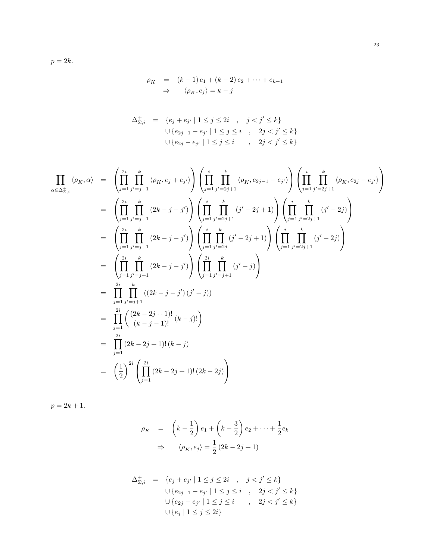$p = 2k$ .

$$
\rho_K = (k-1)e_1 + (k-2)e_2 + \dots + e_{k-1}
$$
  
\n
$$
\Rightarrow \langle \rho_K, e_j \rangle = k - j
$$

$$
\Delta_{\Sigma,i}^+ = \{ e_j + e_{j'} \mid 1 \le j \le 2i , j < j' \le k \}
$$
  

$$
\cup \{ e_{2j-1} - e_{j'} \mid 1 \le j \le i , 2j < j' \le k \}
$$
  

$$
\cup \{ e_{2j} - e_{j'} \mid 1 \le j \le i , 2j < j' \le k \}
$$

$$
\prod_{\alpha \in \Delta_{\Sigma,i}^+} \langle \rho_K, \alpha \rangle = \left( \prod_{j=1}^{2i} \prod_{j'=j+1}^k \langle \rho_K, e_j + e_{j'} \rangle \right) \left( \prod_{j=1}^i \prod_{j'=2j+1}^k \langle \rho_K, e_{2j-1} - e_{j'} \rangle \right) \left( \prod_{j=1}^i \prod_{j'=2j+1}^k \langle \rho_K, e_{2j} - e_{j'} \rangle \right)
$$
\n
$$
= \left( \prod_{j=1}^{2i} \prod_{j'=j+1}^k (2k - j - j') \right) \left( \prod_{j=1}^i \prod_{j'=2j+1}^k (j'-2j+1) \right) \left( \prod_{j=1}^i \prod_{j'=2j+1}^k (j'-2j) \right)
$$
\n
$$
= \left( \prod_{j=1}^2 \prod_{j'=j+1}^k (2k - j - j') \right) \left( \prod_{j=1}^i \prod_{j'=2j+1}^k (j'-2j+1) \right) \left( \prod_{j=1}^i \prod_{j'=2j+1}^k (j'-2j) \right)
$$
\n
$$
= \left( \prod_{j=1}^{2i} \prod_{j'=j+1}^k (2k - j - j') \right) \left( \prod_{j=1}^2 \prod_{j'=j+1}^k (j'-j) \right)
$$
\n
$$
= \prod_{j=1}^{2i} \left( \frac{(2k - 2j + 1)!}{(k - j - 1)!} (k - j)! \right)
$$
\n
$$
= \prod_{j=1}^{2i} (2k - 2j + 1)!(k - j)
$$
\n
$$
= \left( \frac{1}{2} \right)^{2i} \left( \prod_{j=1}^{2i} (2k - 2j + 1)!(2k - 2j) \right)
$$

$$
p = 2k + 1.
$$

$$
\rho_K = \left(k - \frac{1}{2}\right)e_1 + \left(k - \frac{3}{2}\right)e_2 + \dots + \frac{1}{2}e_k
$$

$$
\Rightarrow \left\langle \rho_K, e_j \right\rangle = \frac{1}{2}\left(2k - 2j + 1\right)
$$

$$
\Delta_{\Sigma,i}^+ = \{e_j + e_{j'} \mid 1 \le j \le 2i , j < j' \le k\}
$$
  

$$
\cup \{e_{2j-1} - e_{j'} \mid 1 \le j \le i , 2j < j' \le k\}
$$
  

$$
\cup \{e_{2j} - e_{j'} \mid 1 \le j \le i , 2j < j' \le k\}
$$
  

$$
\cup \{e_j \mid 1 \le j \le 2i\}
$$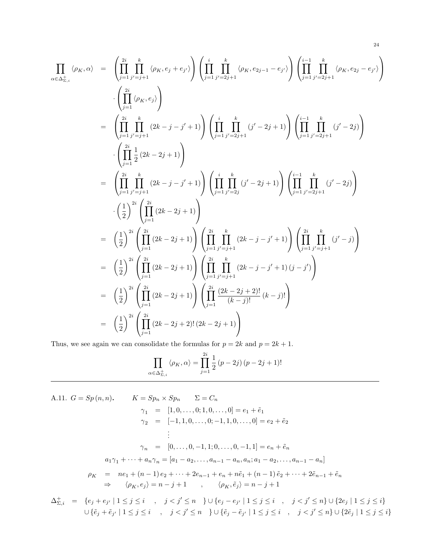$$
\prod_{\alpha \in \Delta_{\Sigma,i}^+} \langle \rho_K, \alpha \rangle = \left( \prod_{j=1}^{2i} \prod_{j'=j+1}^k \langle \rho_K, e_j + e_{j'} \rangle \right) \left( \prod_{j=1}^i \prod_{j'=2j+1}^k \langle \rho_K, e_{2j-1} - e_{j'} \rangle \right) \left( \prod_{j=1}^{i-1} \prod_{j'=2j+1}^k \langle \rho_K, e_{2j} - e_{j'} \rangle \right)
$$
\n
$$
\cdot \left( \prod_{j=1}^{2i} \langle \rho_K, e_j \rangle \right)
$$
\n
$$
= \left( \prod_{j=1}^{2i} \prod_{j'=j+1}^k (2k - j - j' + 1) \right) \left( \prod_{j=1}^i \prod_{j'=2j+1}^k (j'-2j+1) \right) \left( \prod_{j=1}^{i-1} \prod_{j'=2j+1}^k (j'-2j) \right)
$$
\n
$$
\cdot \left( \prod_{j=1}^{2i} \frac{1}{2} (2k - 2j + 1) \right)
$$
\n
$$
= \left( \prod_{j=1}^{2i} \prod_{j'=j+1}^k (2k - j - j' + 1) \right) \left( \prod_{j=1}^i \prod_{j'=2j}^k (j'-2j+1) \right) \left( \prod_{j=1}^{i-1} \prod_{j'=2j+1}^k (j'-2j) \right)
$$
\n
$$
\cdot \left( \frac{1}{2} \right)^{2i} \left( \prod_{j=1}^{2i} (2k - 2j + 1) \right)
$$
\n
$$
= \left( \frac{1}{2} \right)^{2i} \left( \prod_{j=1}^2 (2k - 2j + 1) \right) \left( \prod_{j=1}^2 \prod_{j'=j+1}^k (2k - j - j' + 1) \right) \left( \prod_{j=1}^2 \prod_{j'=j+1}^k (j'-j) \right)
$$
\n
$$
= \left( \frac{1}{2} \right)^{2i} \left( \prod_{j=1}^2 (2k - 2j + 1) \right) \left( \prod_{j=1}^2 \prod_{j'=j+1}^k (2k - j - j' + 1) (j - j') \right
$$

Thus, we see again we can consolidate the formulas for  $p = 2k$  and  $p = 2k + 1$ .

$$
\prod_{\alpha \in \Delta_{\Sigma,i}^+} \langle \rho_K, \alpha \rangle = \prod_{j=1}^{2i} \frac{1}{2} (p - 2j) (p - 2j + 1)!
$$

A.11. 
$$
G = Sp(n, n)
$$
.  
\n
$$
K = Sp_n \times Sp_n \qquad \Sigma = C_n
$$
\n
$$
\gamma_1 = [1, 0, \dots, 0; 1, 0, \dots, 0] = e_1 + \tilde{e}_1
$$
\n
$$
\gamma_2 = [-1, 1, 0, \dots, 0; -1, 1, 0, \dots, 0] = e_2 + \tilde{e}_2
$$
\n
$$
\vdots
$$
\n
$$
\gamma_n = [0, \dots, 0, -1, 1; 0, \dots, 0, -1, 1] = e_n + \tilde{e}_n
$$
\n
$$
a_1 \gamma_1 + \dots + a_n \gamma_n = [a_1 - a_2, \dots, a_{n-1} - a_n, a_n; a_1 - a_2, \dots, a_{n-1} - a_n]
$$
\n
$$
\rho_K = ne_1 + (n-1)e_2 + \dots + 2e_{n-1} + e_n + n\tilde{e}_1 + (n-1)\tilde{e}_2 + \dots + 2\tilde{e}_{n-1} + \tilde{e}_n
$$
\n
$$
\Rightarrow \langle \rho_K, e_j \rangle = n - j + 1 \qquad \langle \rho_K, \tilde{e}_j \rangle = n - j + 1
$$
\n
$$
\Delta_{\Sigma, i}^+ = \{e_j + e_{j'} \mid 1 \le j \le i \quad, \quad j < j' \le n \quad \} \cup \{e_j - e_{j'} \mid 1 \le j \le i \quad, \quad j < j' \le n\} \cup \{2e_j \mid 1 \le j \le i\}
$$

 $\cup \{\tilde{e}_j + \tilde{e}_{j'} \mid 1 \leq j \leq i \quad , \quad j < j' \leq n \quad \} \cup \{\tilde{e}_j - \tilde{e}_{j'} \mid 1 \leq j \leq i \quad , \quad j < j' \leq n \} \cup \{2\tilde{e}_j \mid 1 \leq j \leq i\}$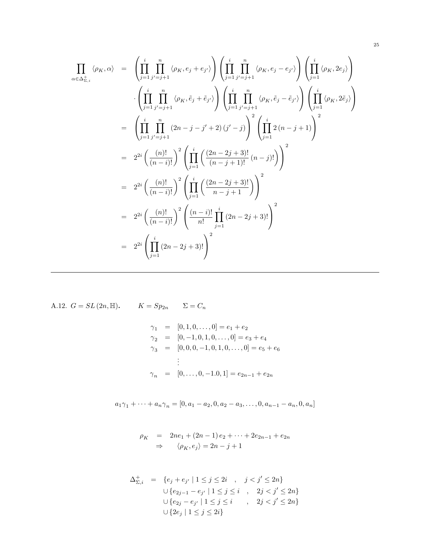$$
\prod_{\alpha \in \Delta_{\Sigma,i}^+} \langle \rho_K, \alpha \rangle = \left( \prod_{j=1}^i \prod_{j'=j+1}^n \langle \rho_K, e_j + e_{j'} \rangle \right) \left( \prod_{j=1}^i \prod_{j'=j+1}^n \langle \rho_K, e_j - e_{j'} \rangle \right) \left( \prod_{j=1}^i \langle \rho_K, e_j \rangle \right)
$$
\n
$$
\cdot \left( \prod_{j=1}^i \prod_{j'=j+1}^n \langle \rho_K, \tilde{e}_j + \tilde{e}_{j'} \rangle \right) \left( \prod_{j=1}^i \prod_{j'=j+1}^n \langle \rho_K, \tilde{e}_j - \tilde{e}_{j'} \rangle \right) \left( \prod_{j=1}^i \langle \rho_K, 2\tilde{e}_j \rangle \right)
$$
\n
$$
= \left( \prod_{j=1}^i \prod_{j'=j+1}^n (2n - j - j' + 2) (j' - j) \right)^2 \left( \prod_{j=1}^i 2 (n - j + 1) \right)^2
$$
\n
$$
= 2^{2i} \left( \frac{(n)!}{(n-i)!} \right)^2 \left( \prod_{j=1}^i \left( \frac{(2n - 2j + 3)!}{(n - j + 1)!} (n - j)! \right) \right)^2
$$
\n
$$
= 2^{2i} \left( \frac{(n)!}{(n - i)!} \right)^2 \left( \prod_{j=1}^i \left( \frac{(2n - 2j + 3)!}{n - j + 1} \right) \right)^2
$$
\n
$$
= 2^{2i} \left( \frac{(n)!}{(n - i)!} \right)^2 \left( \frac{(n - i)!}{n!} \prod_{j=1}^i (2n - 2j + 3)! \right)^2
$$
\n
$$
= 2^{2i} \left( \prod_{j=1}^i (2n - 2j + 3)! \right)^2
$$

A.12. 
$$
G = SL(2n, \mathbb{H}).
$$
  $K = Sp_{2n}$   $\Sigma = C_n$ 

$$
\gamma_1 = [0, 1, 0, \dots, 0] = e_1 + e_2
$$
  
\n
$$
\gamma_2 = [0, -1, 0, 1, 0, \dots, 0] = e_3 + e_4
$$
  
\n
$$
\gamma_3 = [0, 0, 0, -1, 0, 1, 0, \dots, 0] = e_5 + e_6
$$
  
\n
$$
\vdots
$$
  
\n
$$
\gamma_n = [0, \dots, 0, -1, 0, 1] = e_{2n-1} + e_{2n}
$$

 $a_1\gamma_1 + \cdots + a_n\gamma_n = [0, a_1 - a_2, 0, a_2 - a_3, \ldots, 0, a_{n-1} - a_n, 0, a_n]$ 

$$
\rho_K = 2ne_1 + (2n - 1)e_2 + \dots + 2e_{2n-1} + e_{2n} \n\Rightarrow \langle \rho_K, e_j \rangle = 2n - j + 1
$$

$$
\Delta_{\Sigma,i}^+ = \{e_j + e_{j'} \mid 1 \le j \le 2i , j < j' \le 2n\}
$$
  

$$
\cup \{e_{2j-1} - e_{j'} \mid 1 \le j \le i , 2j < j' \le 2n\}
$$
  

$$
\cup \{e_{2j} - e_{j'} \mid 1 \le j \le i , 2j < j' \le 2n\}
$$
  

$$
\cup \{2e_j \mid 1 \le j \le 2i\}
$$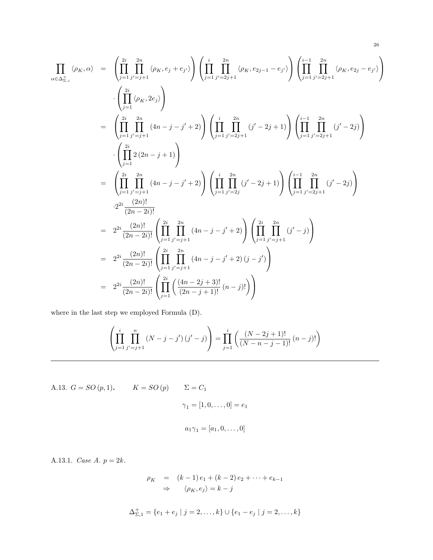$$
\prod_{\alpha \in \Delta_{\Sigma,i}^+} \langle \rho_K, \alpha \rangle = \left( \prod_{j=1}^{2i} \prod_{j'=j+1}^{2n} \langle \rho_K, e_j + e_{j'} \rangle \right) \left( \prod_{j=1}^{i} \prod_{j'=2j+1}^{2n} \langle \rho_K, e_{2j-1} - e_{j'} \rangle \right) \left( \prod_{j=1}^{i-1} \prod_{j'=2j+1}^{2n} \langle \rho_K, e_{2j} - e_{j'} \rangle \right)
$$
\n
$$
\cdot \left( \prod_{j=1}^{2i} \langle \rho_K, 2e_j \rangle \right)
$$
\n
$$
= \left( \prod_{j=1}^{2i} \prod_{j'=j+1}^{2n} (4n - j - j' + 2) \right) \left( \prod_{j=1}^{i} \prod_{j'=2j+1}^{2n} (j' - 2j + 1) \right) \left( \prod_{j=1}^{i-1} \prod_{j'=2j+1}^{2n} (j' - 2j) \right)
$$
\n
$$
\cdot \left( \prod_{j=1}^{2i} 2(2n - j + 1) \right)
$$
\n
$$
= \left( \prod_{j=1}^{2i} \prod_{j'=j+1}^{2n} (4n - j - j' + 2) \right) \left( \prod_{j=1}^{i} \prod_{j'=2j}^{2n} (j' - 2j + 1) \right) \left( \prod_{j=1}^{i-1} \prod_{j'=2j+1}^{2n} (j' - 2j) \right)
$$
\n
$$
2^{2i} \frac{(2n)!}{(2n - 2i)!}
$$
\n
$$
= 2^{2i} \frac{(2n)!}{(2n - 2i)!} \left( \prod_{j=1}^{2i} \prod_{j'=j+1}^{2n} (4n - j - j' + 2) \right) \left( \prod_{j=1}^{2i} \prod_{j'=j+1}^{2n} (j' - j) \right)
$$
\n
$$
= 2^{2i} \frac{(2n)!}{(2n - 2i)!} \left( \prod_{j=1}^{2i} \prod_{j'=j+1}^{2n} (4n - j - j' + 2) (j - j') \right)
$$
\n
$$
= 2^{2i} \frac{(2n)!}{(2n -
$$

where in the last step we employed Formula (D).

$$
\left(\prod_{j=1}^{i} \prod_{j'=j+1}^{n} (N-j-j') (j'-j)\right) = \prod_{j=1}^{i} \left(\frac{(N-2j+1)!}{(N-n-j-1)!} (n-j)! \right)
$$

A.13. 
$$
G = SO(p, 1)
$$
.  $K = SO(p)$   $\Sigma = C_1$   
 $\gamma_1 = [1, 0, ..., 0] = e_1$   
 $a_1 \gamma_1 = [a_1, 0, ..., 0]$ 

A.13.1. Case A.  $p = 2k$ .

$$
\rho_K = (k-1)e_1 + (k-2)e_2 + \dots + e_{k-1}
$$
  
\n
$$
\Rightarrow \langle \rho_K, e_j \rangle = k - j
$$

$$
\Delta_{\Sigma,1}^+ = \{e_1 + e_j \mid j = 2,\ldots,k\} \cup \{e_1 - e_j \mid j = 2,\ldots,k\}
$$